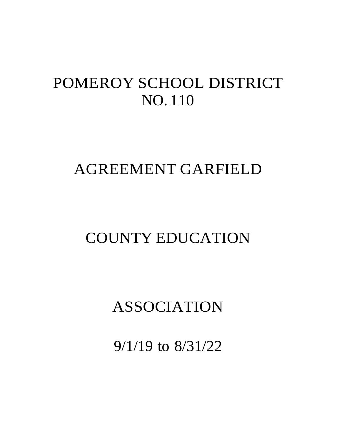# POMEROY SCHOOL DISTRICT NO. 110

# AGREEMENT GARFIELD

# COUNTY EDUCATION

# ASSOCIATION

9/1/19 to 8/31/22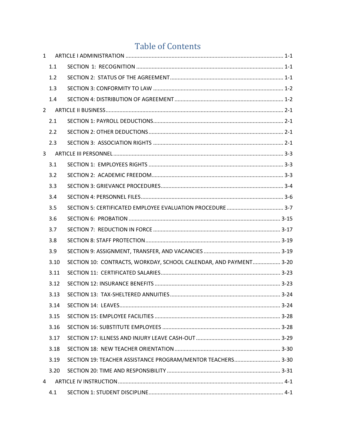# **Table of Contents**

| $\mathbf{1}$ |      |                                                                   |  |
|--------------|------|-------------------------------------------------------------------|--|
|              | 1.1  |                                                                   |  |
|              | 1.2  |                                                                   |  |
|              | 1.3  |                                                                   |  |
|              | 1.4  |                                                                   |  |
|              |      |                                                                   |  |
|              | 2.1  |                                                                   |  |
|              | 2.2  |                                                                   |  |
|              | 2.3  |                                                                   |  |
| 3            |      |                                                                   |  |
|              | 3.1  |                                                                   |  |
|              | 3.2  |                                                                   |  |
|              | 3.3  |                                                                   |  |
|              | 3.4  |                                                                   |  |
|              | 3.5  |                                                                   |  |
|              | 3.6  |                                                                   |  |
|              | 3.7  |                                                                   |  |
|              | 3.8  |                                                                   |  |
|              | 3.9  |                                                                   |  |
|              | 3.10 | SECTION 10: CONTRACTS, WORKDAY, SCHOOL CALENDAR, AND PAYMENT 3-20 |  |
|              | 3.11 |                                                                   |  |
|              | 3.12 |                                                                   |  |
|              | 3.13 |                                                                   |  |
|              | 3.14 |                                                                   |  |
|              | 3.15 |                                                                   |  |
|              | 3.16 |                                                                   |  |
|              | 3.17 |                                                                   |  |
|              | 3.18 |                                                                   |  |
|              | 3.19 | SECTION 19: TEACHER ASSISTANCE PROGRAM/MENTOR TEACHERS 3-30       |  |
|              | 3.20 |                                                                   |  |
| 4            |      |                                                                   |  |
|              | 4.1  |                                                                   |  |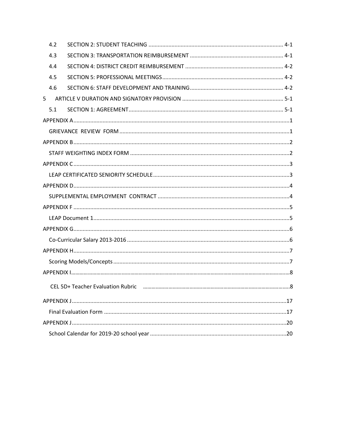| 4.2 |  |
|-----|--|
| 4.3 |  |
| 4.4 |  |
| 4.5 |  |
| 4.6 |  |
| 5   |  |
| 5.1 |  |
|     |  |
|     |  |
|     |  |
|     |  |
|     |  |
|     |  |
|     |  |
|     |  |
|     |  |
|     |  |
|     |  |
|     |  |
|     |  |
|     |  |
|     |  |
|     |  |
|     |  |
|     |  |
|     |  |
|     |  |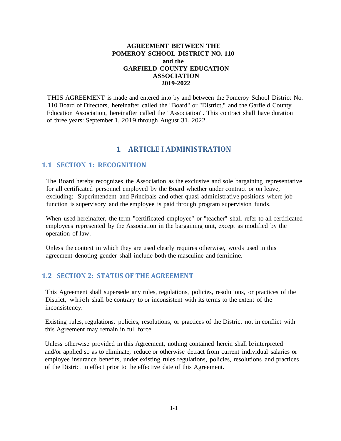## **AGREEMENT BETWEEN THE POMEROY SCHOOL DISTRICT NO. 110 and the GARFIELD COUNTY EDUCATION ASSOCIATION 2019-2022**

THIS AGREEMENT is made and entered into by and between the Pomeroy School District No. 110 Board of Directors, hereinafter called the "Board" or "District," and the Garfield County Education Association, hereinafter called the "Association". This contract shall have duration of three years: September 1, 2019 through August 31, 2022.

# **1 ARTICLE I ADMINISTRATION**

## <span id="page-3-1"></span><span id="page-3-0"></span>**1.1 SECTION 1: RECOGNITION**

The Board hereby recognizes the Association as the exclusive and sole bargaining representative for all certificated personnel employed by the Board whether under contract or on leave, excluding: Superintendent and Principals and other quasi-administrative positions where job function is supervisory and the employee is paid through program supervision funds.

When used hereinafter, the term "certificated employee" or "teacher" shall refer to all certificated employees represented by the Association in the bargaining unit, except as modified by the operation of law.

Unless the context in which they are used clearly requires otherwise, words used in this agreement denoting gender shall include both the masculine and feminine.

## <span id="page-3-2"></span>**1.2 SECTION 2: STATUS OF THE AGREEMENT**

This Agreement shall supersede any rules, regulations, policies, resolutions, or practices of the District, which shall be contrary to or inconsistent with its terms to the extent of the inconsistency.

Existing rules, regulations, policies, resolutions, or practices of the District not in conflict with this Agreement may remain in full force.

Unless otherwise provided in this Agreement, nothing contained herein shall be interpreted and/or applied so as to eliminate, reduce or otherwise detract from current individual salaries or employee insurance benefits, under existing rules regulations, policies, resolutions and practices of the District in effect prior to the effective date of this Agreement.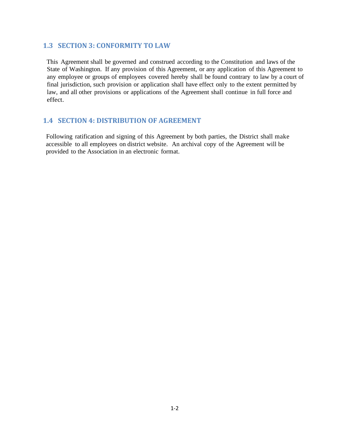## <span id="page-4-0"></span>**1.3 SECTION 3: CONFORMITY TO LAW**

This Agreement shall be governed and construed according to the Constitution and laws of the State of Washington. If any provision of this Agreement, or any application of this Agreement to any employee or groups of employees covered hereby shall be found contrary to law by a court of final jurisdiction, such provision or application shall have effect only to the extent permitted by law, and all other provisions or applications of the Agreement shall continue in full force and effect.

## <span id="page-4-1"></span>**1.4 SECTION 4: DISTRIBUTION OF AGREEMENT**

Following ratification and signing of this Agreement by both parties, the District shall make accessible to all employees on district website. An archival copy of the Agreement will be provided to the Association in an electronic format.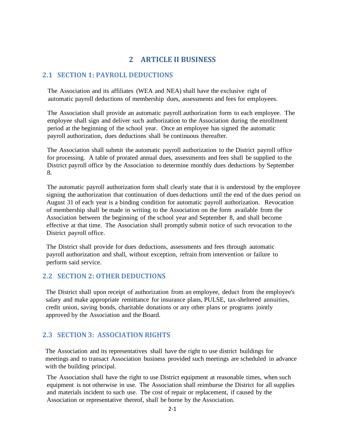## **2 ARTICLE II BUSINESS**

## <span id="page-5-1"></span><span id="page-5-0"></span>**2.1 SECTION 1: PAYROLL DEDUCTIONS**

The Association and its affiliates (WEA and NEA) shall have the exclusive right of automatic payroll deductions of membership dues, assessments and fees for employees.

The Association shall provide an automatic payroll authorization form to each employee. The employee shall sign and deliver such authorization to the Association during the enrollment period at the beginning of the school year. Once an employee has signed the automatic payroll authorization, dues deductions shall be continuous thereafter.

The Association shall submit the automatic payroll authorization to the District payroll office for processing. A table of prorated annual dues, assessments and fees shall be supplied to the District payroll office by the Association to determine monthly dues deductions by September 8.

The automatic payroll authorization form shall clearly state that it is understood by the employee signing the authorization that continuation of dues deductions until the end of the dues period on August 31 of each year is a binding condition for automatic payroll authorization. Revocation of membership shall be made in writing to the Association on the form available from the Association between the beginning of the school year and September 8, and shall become effective at that time. The Association shall promptly submit notice of such revocation to the District payroll office.

The District shall provide for dues deductions, assessments and fees through automatic payroll authorization and shall, without exception, refrain from intervention or failure to perform said service.

## <span id="page-5-2"></span>**2.2 SECTION 2: OTHER DEDUCTIONS**

The District shall upon receipt of authorization from an employee, deduct from the employee's salary and make appropriate remittance for insurance plans, PULSE, tax-sheltered annuities, credit union, saving bonds, charitable donations or any other plans or programs jointly approved by the Association and the Board.

## <span id="page-5-3"></span>**2.3 SECTION 3: ASSOCIATION RIGHTS**

The Association and its representatives shall have the right to use district buildings for meetings and to transact Association business provided such meetings are scheduled in advance with the building principal.

The Association shall have the right to use District equipment at reasonable times, when such equipment is not otherwise in use. The Association shall reimburse the District for all supplies and materials incident to such use. The cost of repair or replacement, if caused by the Association or representative thereof, shall be borne by the Association.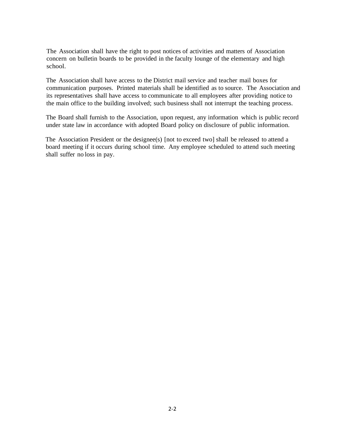The Association shall have the right to post notices of activities and matters of Association concern on bulletin boards to be provided in the faculty lounge of the elementary and high school.

The Association shall have access to the District mail service and teacher mail boxes for communication purposes. Printed materials shall be identified as to source. The Association and its representatives shall have access to communicate to all employees after providing notice to the main office to the building involved; such business shall not interrupt the teaching process.

The Board shall furnish to the Association, upon request, any information which is public record under state law in accordance with adopted Board policy on disclosure of public information.

The Association President or the designee(s) [not to exceed two] shall be released to attend a board meeting if it occurs during school time. Any employee scheduled to attend such meeting shall suffer no loss in pay.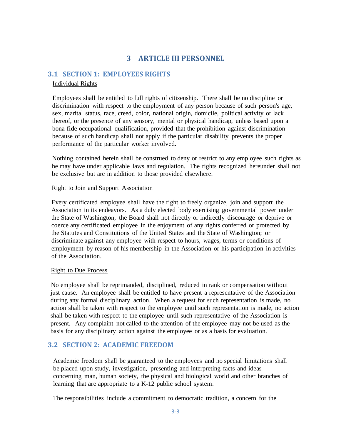## **3 ARTICLE III PERSONNEL**

## <span id="page-7-1"></span><span id="page-7-0"></span>**3.1 SECTION 1: EMPLOYEES RIGHTS**

### Individual Rights

Employees shall be entitled to full rights of citizenship. There shall be no discipline or discrimination with respect to the employment of any person because of such person's age, sex, marital status, race, creed, color, national origin, domicile, political activity or lack thereof, or the presence of any sensory, mental or physical handicap, unless based upon a bona fide occupational qualification, provided that the prohibition against discrimination because of such handicap shall not apply if the particular disability prevents the proper performance of the particular worker involved.

Nothing contained herein shall be construed to deny or restrict to any employee such rights as he may have under applicable laws and regulation. The rights recognized hereunder shall not be exclusive but are in addition to those provided elsewhere.

#### Right to Join and Support Association

Every certificated employee shall have the right to freely organize, join and support the Association in its endeavors. As a duly elected body exercising governmental power under the State of Washington, the Board shall not directly or indirectly discourage or deprive or coerce any certificated employee in the enjoyment of any rights conferred or protected by the Statutes and Constitutions of the United States and the State of Washington; or discriminate against any employee with respect to hours, wages, terms or conditions of employment by reason of his membership in the Association or his participation in activities of the Association.

#### Right to Due Process

No employee shall be reprimanded, disciplined, reduced in rank or compensation without just cause. An employee shall be entitled to have present a representative of the Association during any formal disciplinary action. When a request for such representation is made, no action shall be taken with respect to the employee until such representation is made, no action shall be taken with respect to the employee until such representative of the Association is present. Any complaint not called to the attention of the employee may not be used as the basis for any disciplinary action against the employee or as a basis for evaluation.

## <span id="page-7-2"></span>**3.2 SECTION 2: ACADEMIC FREEDOM**

Academic freedom shall be guaranteed to the employees and no special limitations shall be placed upon study, investigation, presenting and interpreting facts and ideas concerning man, human society, the physical and biological world and other branches of learning that are appropriate to a K-12 public school system.

The responsibilities include a commitment to democratic tradition, a concern for the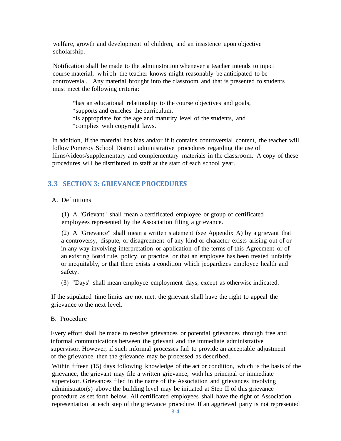welfare, growth and development of children, and an insistence upon objective scholarship.

Notification shall be made to the administration whenever a teacher intends to inject course material, which the teacher knows might reasonably be anticipated to be controversial. Any material brought into the classroom and that is presented to students must meet the following criteria:

\*has an educational relationship to the course objectives and goals, \*supports and enriches the curriculum, \*is appropriate for the age and maturity level of the students, and \*complies with copyright laws.

In addition, if the material has bias and/or if it contains controversial content, the teacher will follow Pomeroy School District administrative procedures regarding the use of films/videos/supplementary and complementary materials in the classroom. A copy of these procedures will be distributed to staff at the start of each school year.

## <span id="page-8-0"></span>**3.3 SECTION 3: GRIEVANCE PROCEDURES**

#### A. Definitions

(1) A "Grievant" shall mean a certificated employee or group of certificated employees represented by the Association filing a grievance.

(2) A "Grievance" shall mean a written statement (see Appendix A) by a grievant that a controversy, dispute, or disagreement of any kind or character exists arising out of or in any way involving interpretation or application of the terms of this Agreement or of an existing Board rule, policy, or practice, or that an employee has been treated unfairly or inequitably, or that there exists a condition which jeopardizes employee health and safety.

(3) "Days" shall mean employee employment days, except as otherwise indicated.

If the stipulated time limits are not met, the grievant shall have the right to appeal the grievance to the next level.

#### B. Procedure

Every effort shall be made to resolve grievances or potential grievances through free and informal communications between the grievant and the immediate administrative supervisor. However, if such informal processes fail to provide an acceptable adjustment of the grievance, then the grievance may be processed as described.

Within fifteen (15) days following knowledge of the act or condition, which is the basis of the grievance, the grievant may file a written grievance, with his principal or immediate supervisor. Grievances filed in the name of the Association and grievances involving administrator(s) above the building level may be initiated at Step II of this grievance procedure as set forth below. All certificated employees shall have the right of Association representation at each step of the grievance procedure. If an aggrieved party is not represented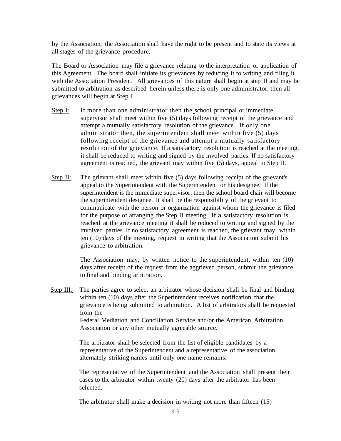by the Association, the Association shall have the right to be present and to state its views at all stages of the grievance procedure.

The Board or Association may file a grievance relating to the interpretation or application of this Agreement. The board shall initiate its grievances by reducing it to writing and filing it with the Association President. All grievances of this nature shall begin at step II and may be submitted to arbitration as described herein unless there is only one administrator, then all grievances will begin at Step I.

- Step I: If more than one administrator then the school principal or immediate supervisor shall meet within five (5) days following receipt of the grievance and attempt a mutually satisfactory resolution of the grievance. If only one administrator then, the superintendent shall meet within five (5) days following receipt of the grievance and attempt a mutually satisfactory resolution of the grievance. If a satisfactory resolution is reached at the meeting, it shall be reduced to writing and signed by the involved parties. If no satisfactory agreement is reached, the grievant may within five (5) days, appeal to Step II.
- Step II: The grievant shall meet within five  $(5)$  days following receipt of the grievant's appeal to the Superintendent with the Superintendent or his designee. If the superintendent is the immediate supervisor, then the school board chair will become the superintendent designee. It shall be the responsibility of the grievant to communicate with the person or organization against whom the grievance is filed for the purpose of arranging the Step II meeting. If a satisfactory resolution is reached at the grievance meeting it shall be reduced to writing and signed by the involved parties. If no satisfactory agreement is reached, the grievant may, within ten (10) days of the meeting, request in writing that the Association submit his grievance to arbitration.

The Association may, by written notice to the superintendent, within ten (10) days after receipt of the request from the aggrieved person, submit the grievance to final and binding arbitration.

Step III: The parties agree to select an arbitrator whose decision shall be final and binding within ten (10) days after the Superintendent receives notification that the grievance is being submitted to arbitration. A list of arbitrators shall be requested from the Federal Mediation and Conciliation Service and/or the American Arbitration Association or any other mutually agreeable source.

> The arbitrator shall be selected from the list of eligible candidates by a representative of the Superintendent and a representative of the association, alternately striking names until only one name remains.

The representative of the Superintendent and the Association shall present their cases to the arbitrator within twenty (20) days after the arbitrator has been selected.

The arbitrator shall make a decision in writing not more than fifteen (15)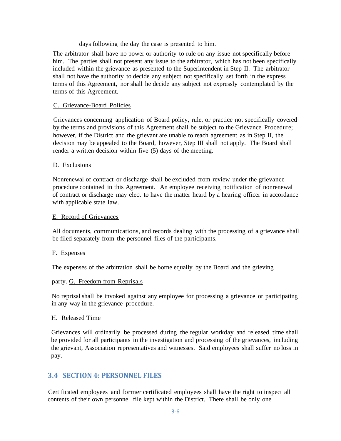days following the day the case is presented to him.

The arbitrator shall have no power or authority to rule on any issue not specifically before him. The parties shall not present any issue to the arbitrator, which has not been specifically included within the grievance as presented to the Superintendent in Step II. The arbitrator shall not have the authority to decide any subject not specifically set forth in the express terms of this Agreement, nor shall he decide any subject not expressly contemplated by the terms of this Agreement.

## C. Grievance-Board Policies

Grievances concerning application of Board policy, rule, or practice not specifically covered by the terms and provisions of this Agreement shall be subject to the Grievance Procedure; however, if the District and the grievant are unable to reach agreement as in Step II, the decision may be appealed to the Board, however, Step III shall not apply. The Board shall render a written decision within five (5) days of the meeting.

## D. Exclusions

Nonrenewal of contract or discharge shall be excluded from review under the grievance procedure contained in this Agreement. An employee receiving notification of nonrenewal of contract or discharge may elect to have the matter heard by a hearing officer in accordance with applicable state law.

#### E. Record of Grievances

All documents, communications, and records dealing with the processing of a grievance shall be filed separately from the personnel files of the participants.

#### F. Expenses

The expenses of the arbitration shall be borne equally by the Board and the grieving

#### party. G. Freedom from Reprisals

No reprisal shall be invoked against any employee for processing a grievance or participating in any way in the grievance procedure.

#### H. Released Time

Grievances will ordinarily be processed during the regular workday and released time shall be provided for all participants in the investigation and processing of the grievances, including the grievant, Association representatives and witnesses. Said employees shall suffer no loss in pay.

## <span id="page-10-0"></span>**3.4 SECTION 4: PERSONNEL FILES**

Certificated employees and former certificated employees shall have the right to inspect all contents of their own personnel file kept within the District. There shall be only one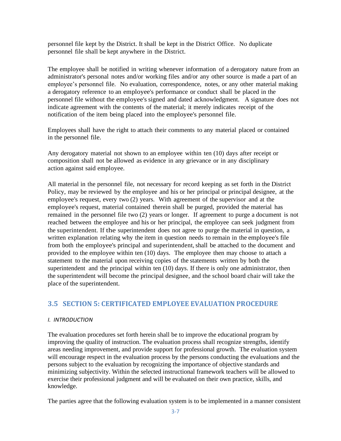personnel file kept by the District. It shall be kept in the District Office. No duplicate personnel file shall be kept anywhere in the District.

The employee shall be notified in writing whenever information of a derogatory nature from an administrator's personal notes and/or working files and/or any other source is made a part of an employee's personnel file. No evaluation, correspondence, notes, or any other material making a derogatory reference to an employee's performance or conduct shall be placed in the personnel file without the employee's signed and dated acknowledgment. A signature does not indicate agreement with the contents of the material; it merely indicates receipt of the notification of the item being placed into the employee's personnel file.

Employees shall have the right to attach their comments to any material placed or contained in the personnel file.

Any derogatory material not shown to an employee within ten (10) days after receipt or composition shall not be allowed as evidence in any grievance or in any disciplinary action against said employee.

All material in the personnel file, not necessary for record keeping as set forth in the District Policy, may be reviewed by the employee and his or her principal or principal designee, at the employee's request, every two (2) years. With agreement of the supervisor and at the employee's request, material contained therein shall be purged, provided the material has remained in the personnel file two (2) years or longer. If agreement to purge a document is not reached between the employee and his or her principal, the employee can seek judgment from the superintendent. If the superintendent does not agree to purge the material in question, a written explanation relating why the item in question needs to remain in the employee's file from both the employee's principal and superintendent, shall be attached to the document and provided to the employee within ten (10) days. The employee then may choose to attach a statement to the material upon receiving copies of the statements written by both the superintendent and the principal within ten (10) days. If there is only one administrator, then the superintendent will become the principal designee, and the school board chair will take the place of the superintendent.

## <span id="page-11-0"></span>**3.5 SECTION 5: CERTIFICATED EMPLOYEE EVALUATION PROCEDURE**

#### *I. INTRODUCTION*

The evaluation procedures set forth herein shall be to improve the educational program by improving the quality of instruction. The evaluation process shall recognize strengths, identify areas needing improvement, and provide support for professional growth. The evaluation system will encourage respect in the evaluation process by the persons conducting the evaluations and the persons subject to the evaluation by recognizing the importance of objective standards and minimizing subjectivity. Within the selected instructional framework teachers will be allowed to exercise their professional judgment and will be evaluated on their own practice, skills, and knowledge.

The parties agree that the following evaluation system is to be implemented in a manner consistent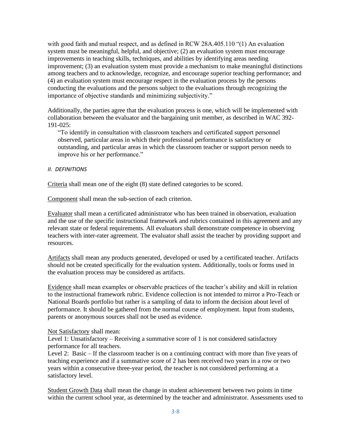with good faith and mutual respect, and as defined in RCW 28A.405.110 "(1) An evaluation system must be meaningful, helpful, and objective; (2) an evaluation system must encourage improvements in teaching skills, techniques, and abilities by identifying areas needing improvement; (3) an evaluation system must provide a mechanism to make meaningful distinctions among teachers and to acknowledge, recognize, and encourage superior teaching performance; and (4) an evaluation system must encourage respect in the evaluation process by the persons conducting the evaluations and the persons subject to the evaluations through recognizing the importance of objective standards and minimizing subjectivity."

Additionally, the parties agree that the evaluation process is one, which will be implemented with collaboration between the evaluator and the bargaining unit member, as described in WAC 392-  $191 - 025$ 

"To identify in consultation with classroom teachers and certificated support personnel observed, particular areas in which their professional performance is satisfactory or outstanding, and particular areas in which the classroom teacher or support person needs to improve his or her performance."

#### *II. DEFINITIONS*

Criteria shall mean one of the eight (8) state defined categories to be scored.

Component shall mean the sub-section of each criterion.

Evaluator shall mean a certificated administrator who has been trained in observation, evaluation and the use of the specific instructional framework and rubrics contained in this agreement and any relevant state or federal requirements. All evaluators shall demonstrate competence in observing teachers with inter-rater agreement. The evaluator shall assist the teacher by providing support and resources.

Artifacts shall mean any products generated, developed or used by a certificated teacher. Artifacts should not be created specifically for the evaluation system. Additionally, tools or forms used in the evaluation process may be considered as artifacts.

Evidence shall mean examples or observable practices of the teacher's ability and skill in relation to the instructional framework rubric. Evidence collection is not intended to mirror a Pro-Teach or National Boards portfolio but rather is a sampling of data to inform the decision about level of performance. It should be gathered from the normal course of employment. Input from students, parents or anonymous sources shall not be used as evidence.

#### Not Satisfactory shall mean:

Level 1: Unsatisfactory – Receiving a summative score of 1 is not considered satisfactory performance for all teachers.

Level 2: Basic – If the classroom teacher is on a continuing contract with more than five years of teaching experience and if a summative score of 2 has been received two years in a row or two years within a consecutive three-year period, the teacher is not considered performing at a satisfactory level.

Student Growth Data shall mean the change in student achievement between two points in time within the current school year, as determined by the teacher and administrator. Assessments used to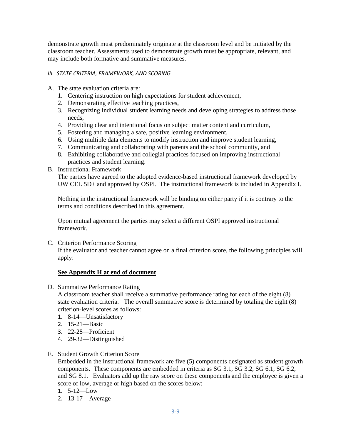demonstrate growth must predominately originate at the classroom level and be initiated by the classroom teacher. Assessments used to demonstrate growth must be appropriate, relevant, and may include both formative and summative measures.

## *III. STATE CRITERIA, FRAMEWORK, AND SCORING*

- A. The state evaluation criteria are:
	- 1. Centering instruction on high expectations for student achievement,
	- 2. Demonstrating effective teaching practices,
	- 3. Recognizing individual student learning needs and developing strategies to address those needs,
	- 4. Providing clear and intentional focus on subject matter content and curriculum,
	- 5. Fostering and managing a safe, positive learning environment,
	- 6. Using multiple data elements to modify instruction and improve student learning,
	- 7. Communicating and collaborating with parents and the school community, and
	- 8. Exhibiting collaborative and collegial practices focused on improving instructional practices and student learning.

### B. Instructional Framework

The parties have agreed to the adopted evidence-based instructional framework developed by UW CEL 5D+ and approved by OSPI. The instructional framework is included in Appendix I.

Nothing in the instructional framework will be binding on either party if it is contrary to the terms and conditions described in this agreement.

Upon mutual agreement the parties may select a different OSPI approved instructional framework.

C. Criterion Performance Scoring

If the evaluator and teacher cannot agree on a final criterion score, the following principles will apply:

## **See Appendix H at end of document**

D. Summative Performance Rating

A classroom teacher shall receive a summative performance rating for each of the eight (8) state evaluation criteria. The overall summative score is determined by totaling the eight (8) criterion-level scores as follows:

- 1. 8-14—Unsatisfactory
- 2. 15-21—Basic
- 3. 22-28—Proficient
- 4. 29-32—Distinguished

#### E. Student Growth Criterion Score

Embedded in the instructional framework are five (5) components designated as student growth components. These components are embedded in criteria as SG 3.1, SG 3.2, SG 6.1, SG 6.2, and SG 8.1. Evaluators add up the raw score on these components and the employee is given a score of low, average or high based on the scores below:

- 1. 5-12—Low
- 2. 13-17—Average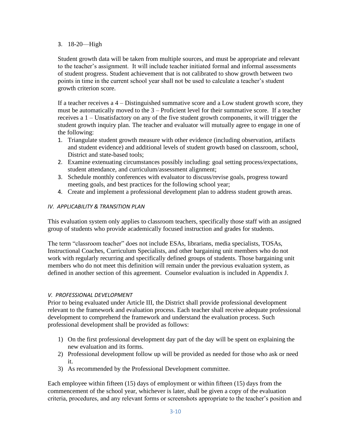## 3. 18-20—High

Student growth data will be taken from multiple sources, and must be appropriate and relevant to the teacher's assignment. It will include teacher initiated formal and informal assessments of student progress. Student achievement that is not calibrated to show growth between two points in time in the current school year shall not be used to calculate a teacher's student growth criterion score.

If a teacher receives a 4 – Distinguished summative score and a Low student growth score, they must be automatically moved to the 3 – Proficient level for their summative score. If a teacher receives a 1 – Unsatisfactory on any of the five student growth components, it will trigger the student growth inquiry plan. The teacher and evaluator will mutually agree to engage in one of the following:

- 1. Triangulate student growth measure with other evidence (including observation, artifacts and student evidence) and additional levels of student growth based on classroom, school, District and state-based tools:
- 2. Examine extenuating circumstances possibly including: goal setting process/expectations, student attendance, and curriculum/assessment alignment;
- 3. Schedule monthly conferences with evaluator to discuss/revise goals, progress toward meeting goals, and best practices for the following school year;
- 4. Create and implement a professional development plan to address student growth areas.

## *IV. APPLICABILITY & TRANSITION PLAN*

This evaluation system only applies to classroom teachers, specifically those staff with an assigned group of students who provide academically focused instruction and grades for students.

The term "classroom teacher" does not include ESAs, librarians, media specialists, TOSAs, Instructional Coaches, Curriculum Specialists, and other bargaining unit members who do not work with regularly recurring and specifically defined groups of students. Those bargaining unit members who do not meet this definition will remain under the previous evaluation system, as defined in another section of this agreement. Counselor evaluation is included in Appendix J.

## *V. PROFESSIONAL DEVELOPMENT*

Prior to being evaluated under Article III, the District shall provide professional development relevant to the framework and evaluation process. Each teacher shall receive adequate professional development to comprehend the framework and understand the evaluation process. Such professional development shall be provided as follows:

- 1) On the first professional development day part of the day will be spent on explaining the new evaluation and its forms.
- 2) Professional development follow up will be provided as needed for those who ask or need it.
- 3) As recommended by the Professional Development committee.

Each employee within fifteen (15) days of employment or within fifteen (15) days from the commencement of the school year, whichever is later, shall be given a copy of the evaluation criteria, procedures, and any relevant forms or screenshots appropriate to the teacher's position and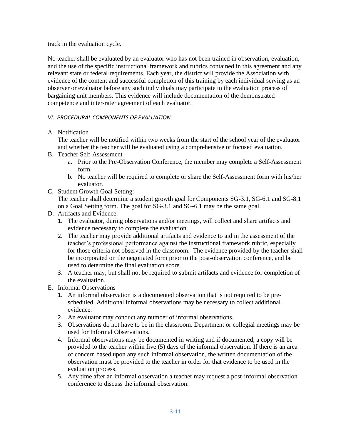track in the evaluation cycle.

No teacher shall be evaluated by an evaluator who has not been trained in observation, evaluation, and the use of the specific instructional framework and rubrics contained in this agreement and any relevant state or federal requirements. Each year, the district will provide the Association with evidence of the content and successful completion of this training by each individual serving as an observer or evaluator before any such individuals may participate in the evaluation process of bargaining unit members. This evidence will include documentation of the demonstrated competence and inter-rater agreement of each evaluator.

## *VI. PROCEDURAL COMPONENTS OF EVALUATION*

A. Notification

The teacher will be notified within two weeks from the start of the school year of the evaluator and whether the teacher will be evaluated using a comprehensive or focused evaluation.

- B. Teacher Self-Assessment
	- a. Prior to the Pre-Observation Conference, the member may complete a Self-Assessment form.
	- b. No teacher will be required to complete or share the Self-Assessment form with his/her evaluator.
- C. Student Growth Goal Setting:

The teacher shall determine a student growth goal for Components SG-3.1, SG-6.1 and SG-8.1 on a Goal Setting form. The goal for SG-3.1 and SG-6.1 may be the same goal.

- D. Artifacts and Evidence:
	- 1. The evaluator, during observations and/or meetings, will collect and share artifacts and evidence necessary to complete the evaluation.
	- 2. The teacher may provide additional artifacts and evidence to aid in the assessment of the teacher's professional performance against the instructional framework rubric, especially for those criteria not observed in the classroom. The evidence provided by the teacher shall be incorporated on the negotiated form prior to the post-observation conference, and be used to determine the final evaluation score.
	- 3. A teacher may, but shall not be required to submit artifacts and evidence for completion of the evaluation.
- E. Informal Observations
	- 1. An informal observation is a documented observation that is not required to be prescheduled. Additional informal observations may be necessary to collect additional evidence.
	- 2. An evaluator may conduct any number of informal observations.
	- 3. Observations do not have to be in the classroom. Department or collegial meetings may be used for Informal Observations.
	- 4. Informal observations may be documented in writing and if documented, a copy will be provided to the teacher within five (5) days of the informal observation. If there is an area of concern based upon any such informal observation, the written documentation of the observation must be provided to the teacher in order for that evidence to be used in the evaluation process.
	- 5. Any time after an informal observation a teacher may request a post-informal observation conference to discuss the informal observation.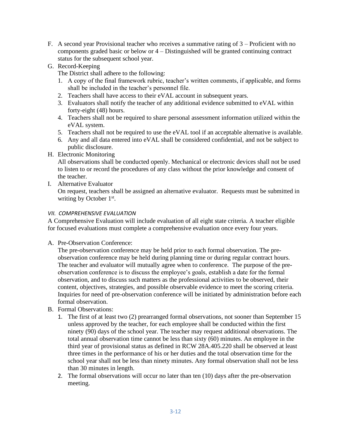- F. A second year Provisional teacher who receives a summative rating of 3 Proficient with no components graded basic or below or 4 – Distinguished will be granted continuing contract status for the subsequent school year.
- G. Record-Keeping

The District shall adhere to the following:

- 1. A copy of the final framework rubric, teacher's written comments, if applicable, and forms shall be included in the teacher's personnel file.
- 2. Teachers shall have access to their eVAL account in subsequent years.
- 3. Evaluators shall notify the teacher of any additional evidence submitted to eVAL within forty-eight (48) hours.
- 4. Teachers shall not be required to share personal assessment information utilized within the eVAL system.
- 5. Teachers shall not be required to use the eVAL tool if an acceptable alternative is available.
- 6. Any and all data entered into eVAL shall be considered confidential, and not be subject to public disclosure.
- H. Electronic Monitoring

All observations shall be conducted openly. Mechanical or electronic devices shall not be used to listen to or record the procedures of any class without the prior knowledge and consent of the teacher.

I. Alternative Evaluator

On request, teachers shall be assigned an alternative evaluator. Requests must be submitted in writing by October 1<sup>st</sup>.

## *VII. COMPREHENSIVE EVALUATION*

A Comprehensive Evaluation will include evaluation of all eight state criteria. A teacher eligible for focused evaluations must complete a comprehensive evaluation once every four years.

## A. Pre-Observation Conference:

The pre-observation conference may be held prior to each formal observation. The preobservation conference may be held during planning time or during regular contract hours. The teacher and evaluator will mutually agree when to conference. The purpose of the preobservation conference is to discuss the employee's goals, establish a date for the formal observation, and to discuss such matters as the professional activities to be observed, their content, objectives, strategies, and possible observable evidence to meet the scoring criteria. Inquiries for need of pre-observation conference will be initiated by administration before each formal observation.

- B. Formal Observations:
	- 1. The first of at least two (2) prearranged formal observations, not sooner than September 15 unless approved by the teacher, for each employee shall be conducted within the first ninety (90) days of the school year. The teacher may request additional observations. The total annual observation time cannot be less than sixty (60) minutes. An employee in the third year of provisional status as defined in RCW 28A.405.220 shall be observed at least three times in the performance of his or her duties and the total observation time for the school year shall not be less than ninety minutes. Any formal observation shall not be less than 30 minutes in length.
	- 2. The formal observations will occur no later than ten (10) days after the pre-observation meeting.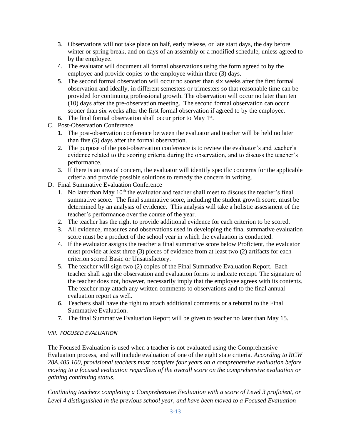- 3. Observations will not take place on half, early release, or late start days, the day before winter or spring break, and on days of an assembly or a modified schedule, unless agreed to by the employee.
- 4. The evaluator will document all formal observations using the form agreed to by the employee and provide copies to the employee within three (3) days.
- 5. The second formal observation will occur no sooner than six weeks after the first formal observation and ideally, in different semesters or trimesters so that reasonable time can be provided for continuing professional growth. The observation will occur no later than ten (10) days after the pre-observation meeting. The second formal observation can occur sooner than six weeks after the first formal observation if agreed to by the employee.
- 6. The final formal observation shall occur prior to May  $1<sup>st</sup>$ .
- C. Post-Observation Conference
	- 1. The post-observation conference between the evaluator and teacher will be held no later than five (5) days after the formal observation.
	- 2. The purpose of the post-observation conference is to review the evaluator's and teacher's evidence related to the scoring criteria during the observation, and to discuss the teacher's performance.
	- 3. If there is an area of concern, the evaluator will identify specific concerns for the applicable criteria and provide possible solutions to remedy the concern in writing.
- D. Final Summative Evaluation Conference
	- 1. No later than May  $10<sup>th</sup>$  the evaluator and teacher shall meet to discuss the teacher's final summative score. The final summative score, including the student growth score, must be determined by an analysis of evidence. This analysis will take a holistic assessment of the teacher's performance over the course of the year.
	- 2. The teacher has the right to provide additional evidence for each criterion to be scored.
	- 3. All evidence, measures and observations used in developing the final summative evaluation score must be a product of the school year in which the evaluation is conducted.
	- 4. If the evaluator assigns the teacher a final summative score below Proficient, the evaluator must provide at least three (3) pieces of evidence from at least two (2) artifacts for each criterion scored Basic or Unsatisfactory.
	- 5. The teacher will sign two (2) copies of the Final Summative Evaluation Report. Each teacher shall sign the observation and evaluation forms to indicate receipt. The signature of the teacher does not, however, necessarily imply that the employee agrees with its contents. The teacher may attach any written comments to observations and to the final annual evaluation report as well.
	- 6. Teachers shall have the right to attach additional comments or a rebuttal to the Final Summative Evaluation.
	- 7. The final Summative Evaluation Report will be given to teacher no later than May 15.

## *VIII. FOCUSED EVALUATION*

The Focused Evaluation is used when a teacher is not evaluated using the Comprehensive Evaluation process, and will include evaluation of one of the eight state criteria. *According to RCW 28A.405.100, provisional teachers must complete four years on a comprehensive evaluation before moving to a focused evaluation regardless of the overall score on the comprehensive evaluation or gaining continuing status.* 

*Continuing teachers completing a Comprehensive Evaluation with a score of Level 3 proficient, or Level 4 distinguished in the previous school year, and have been moved to a Focused Evaluation*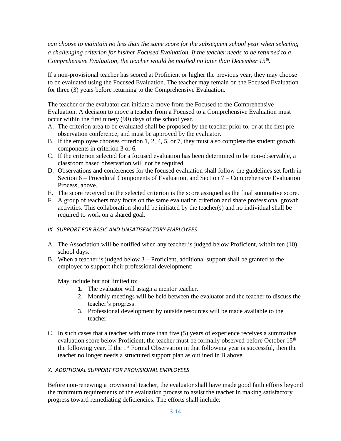*can choose to maintain no less than the same score for the subsequent school year when selecting a challenging criterion for his/her Focused Evaluation. If the teacher needs to be returned to a Comprehensive Evaluation, the teacher would be notified no later than December 15th .*

If a non-provisional teacher has scored at Proficient or higher the previous year, they may choose to be evaluated using the Focused Evaluation. The teacher may remain on the Focused Evaluation for three (3) years before returning to the Comprehensive Evaluation.

The teacher or the evaluator can initiate a move from the Focused to the Comprehensive Evaluation. A decision to move a teacher from a Focused to a Comprehensive Evaluation must occur within the first ninety (90) days of the school year.

- A. The criterion area to be evaluated shall be proposed by the teacher prior to, or at the first preobservation conference, and must be approved by the evaluator.
- B. If the employee chooses criterion 1, 2, 4, 5, or 7, they must also complete the student growth components in criterion 3 or 6.
- C. If the criterion selected for a focused evaluation has been determined to be non-observable, a classroom based observation will not be required.
- D. Observations and conferences for the focused evaluation shall follow the guidelines set forth in Section 6 – Procedural Components of Evaluation, and Section 7 – Comprehensive Evaluation Process, above.
- E. The score received on the selected criterion is the score assigned as the final summative score.
- F. A group of teachers may focus on the same evaluation criterion and share professional growth activities. This collaboration should be initiated by the teacher(s) and no individual shall be required to work on a shared goal.
- *IX. SUPPORT FOR BASIC AND UNSATISFACTORY EMPLOYEES*
- A. The Association will be notified when any teacher is judged below Proficient, within ten (10) school days.
- B. When a teacher is judged below 3 Proficient, additional support shall be granted to the employee to support their professional development:

May include but not limited to:

- 1. The evaluator will assign a mentor teacher.
- 2. Monthly meetings will be held between the evaluator and the teacher to discuss the teacher's progress.
- 3. Professional development by outside resources will be made available to the teacher.
- C. In such cases that a teacher with more than five (5) years of experience receives a summative evaluation score below Proficient, the teacher must be formally observed before October 15<sup>th</sup> the following year. If the 1<sup>st</sup> Formal Observation in that following year is successful, then the teacher no longer needs a structured support plan as outlined in B above.

#### *X. ADDITIONAL SUPPORT FOR PROVISIONAL EMPLOYEES*

Before non-renewing a provisional teacher, the evaluator shall have made good faith efforts beyond the minimum requirements of the evaluation process to assist the teacher in making satisfactory progress toward remediating deficiencies. The efforts shall include: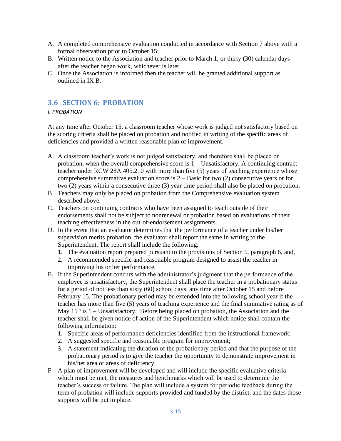- A. A completed comprehensive evaluation conducted in accordance with Section 7 above with a formal observation prior to October 15;
- B. Written notice to the Association and teacher prior to March 1, or thirty (30) calendar days after the teacher began work, whichever is later.
- C. Once the Association is informed then the teacher will be granted additional support as outlined in IX B.

## <span id="page-19-0"></span>**3.6 SECTION 6: PROBATION**

## *I. PROBATION*

At any time after October 15, a classroom teacher whose work is judged not satisfactory based on the scoring criteria shall be placed on probation and notified in writing of the specific areas of deficiencies and provided a written reasonable plan of improvement.

- A. A classroom teacher's work is not judged satisfactory, and therefore shall be placed on probation, when the overall comprehensive score is 1 – Unsatisfactory. A continuing contract teacher under RCW 28A.405.210 with more than five (5) years of teaching experience whose comprehensive summative evaluation score is  $2 -$  Basic for two  $(2)$  consecutive years or for two (2) years within a consecutive three (3) year time period shall also be placed on probation.
- B. Teachers may only be placed on probation from the Comprehensive evaluation system described above.
- C. Teachers on continuing contracts who have been assigned to teach outside of their endorsements shall not be subject to nonrenewal or probation based on evaluations of their teaching effectiveness in the out-of-endorsement assignments.
- D. In the event that an evaluator determines that the performance of a teacher under his/her supervision merits probation, the evaluator shall report the same in writing to the Superintendent. The report shall include the following:
	- 1. The evaluation report prepared pursuant to the provisions of Section 5, paragraph 6, and,
	- 2. A recommended specific and reasonable program designed to assist the teacher in improving his or her performance.
- E. If the Superintendent concurs with the administrator's judgment that the performance of the employee is unsatisfactory, the Superintendent shall place the teacher in a probationary status for a period of not less than sixty (60) school days, any time after October 15 and before February 15. The probationary period may be extended into the following school year if the teacher has more than five (5) years of teaching experience and the final summative rating as of May  $15<sup>th</sup>$  is  $1$  – Unsatisfactory. Before being placed on probation, the Association and the teacher shall be given notice of action of the Superintendent which notice shall contain the following information:
	- 1. Specific areas of performance deficiencies identified from the instructional framework;
	- 2. A suggested specific and reasonable program for improvement;
	- 3. A statement indicating the duration of the probationary period and that the purpose of the probationary period is to give the teacher the opportunity to demonstrate improvement in his/her area or areas of deficiency.
- F. A plan of improvement will be developed and will include the specific evaluative criteria which must be met, the measures and benchmarks which will be used to determine the teacher's success or failure. The plan will include a system for periodic feedback during the term of probation will include supports provided and funded by the district, and the dates those supports will be put in place.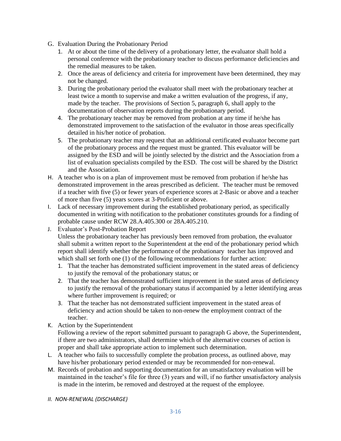- G. Evaluation During the Probationary Period
	- 1. At or about the time of the delivery of a probationary letter, the evaluator shall hold a personal conference with the probationary teacher to discuss performance deficiencies and the remedial measures to be taken.
	- 2. Once the areas of deficiency and criteria for improvement have been determined, they may not be changed.
	- 3. During the probationary period the evaluator shall meet with the probationary teacher at least twice a month to supervise and make a written evaluation of the progress, if any, made by the teacher. The provisions of Section 5, paragraph 6, shall apply to the documentation of observation reports during the probationary period.
	- 4. The probationary teacher may be removed from probation at any time if he/she has demonstrated improvement to the satisfaction of the evaluator in those areas specifically detailed in his/her notice of probation.
	- 5. The probationary teacher may request that an additional certificated evaluator become part of the probationary process and the request must be granted. This evaluator will be assigned by the ESD and will be jointly selected by the district and the Association from a list of evaluation specialists compiled by the ESD. The cost will be shared by the District and the Association.
- H. A teacher who is on a plan of improvement must be removed from probation if he/she has demonstrated improvement in the areas prescribed as deficient. The teacher must be removed if a teacher with five (5) or fewer years of experience scores at 2-Basic or above and a teacher of more than five (5) years scores at 3-Proficient or above.
- I. Lack of necessary improvement during the established probationary period, as specifically documented in writing with notification to the probationer constitutes grounds for a finding of probable cause under RCW 28.A.405.300 or 28A.405.210.
- J. Evaluator's Post-Probation Report

Unless the probationary teacher has previously been removed from probation, the evaluator shall submit a written report to the Superintendent at the end of the probationary period which report shall identify whether the performance of the probationary teacher has improved and which shall set forth one (1) of the following recommendations for further action:

- 1. That the teacher has demonstrated sufficient improvement in the stated areas of deficiency to justify the removal of the probationary status; or
- 2. That the teacher has demonstrated sufficient improvement in the stated areas of deficiency to justify the removal of the probationary status if accompanied by a letter identifying areas where further improvement is required; or
- 3. That the teacher has not demonstrated sufficient improvement in the stated areas of deficiency and action should be taken to non-renew the employment contract of the teacher.
- K. Action by the Superintendent

Following a review of the report submitted pursuant to paragraph G above, the Superintendent, if there are two administrators, shall determine which of the alternative courses of action is proper and shall take appropriate action to implement such determination.

- L. A teacher who fails to successfully complete the probation process, as outlined above, may have his/her probationary period extended or may be recommended for non-renewal.
- M. Records of probation and supporting documentation for an unsatisfactory evaluation will be maintained in the teacher's file for three (3) years and will, if no further unsatisfactory analysis is made in the interim, be removed and destroyed at the request of the employee.
- *II. NON-RENEWAL (DISCHARGE)*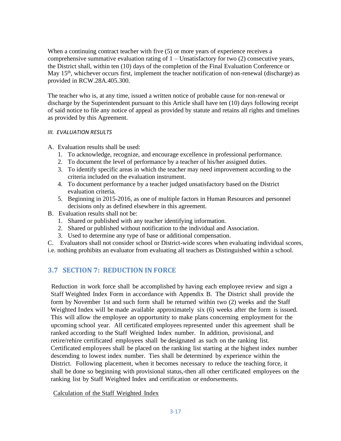When a continuing contract teacher with five (5) or more years of experience receives a comprehensive summative evaluation rating of  $1 -$ Unsatisfactory for two  $(2)$  consecutive years, the District shall, within ten (10) days of the completion of the Final Evaluation Conference or May 15<sup>th</sup>, whichever occurs first, implement the teacher notification of non-renewal (discharge) as provided in RCW.28A.405.300.

The teacher who is, at any time, issued a written notice of probable cause for non-renewal or discharge by the Superintendent pursuant to this Article shall have ten (10) days following receipt of said notice to file any notice of appeal as provided by statute and retains all rights and timelines as provided by this Agreement.

## *III. EVALUATION RESULTS*

- A. Evaluation results shall be used:
	- 1. To acknowledge, recognize, and encourage excellence in professional performance.
	- 2. To document the level of performance by a teacher of his/her assigned duties.
	- 3. To identify specific areas in which the teacher may need improvement according to the criteria included on the evaluation instrument.
	- 4. To document performance by a teacher judged unsatisfactory based on the District evaluation criteria.
	- 5. Beginning in 2015-2016, as one of multiple factors in Human Resources and personnel decisions only as defined elsewhere in this agreement.
- B. Evaluation results shall not be:
	- 1. Shared or published with any teacher identifying information.
	- 2. Shared or published without notification to the individual and Association.
	- 3. Used to determine any type of base or additional compensation.

C. Evaluators shall not consider school or District-wide scores when evaluating individual scores, i.e. nothing prohibits an evaluator from evaluating all teachers as Distinguished within a school.

## <span id="page-21-0"></span>**3.7 SECTION 7: REDUCTION IN FORCE**

Reduction in work force shall be accomplished by having each employee review and sign a Staff Weighted Index Form in accordance with Appendix B. The District shall provide the form by November 1st and such form shall be returned within two (2) weeks and the Staff Weighted Index will be made available approximately six (6) weeks after the form is issued. This will allow the employee an opportunity to make plans concerning employment for the upcoming school year. All certificated employees represented under this agreement shall be ranked according to the Staff Weighted Index number. In addition, provisional, and retire/rehire certificated employees shall be designated as such on the ranking list. Certificated employees shall be placed on the ranking list starting at the highest index number descending to lowest index number. Ties shall be determined by experience within the District. Following placement, when it becomes necessary to reduce the teaching force, it shall be done so beginning with provisional status,-then all other certificated employees on the ranking list by Staff Weighted Index and certification or endorsements.

Calculation of the Staff Weighted Index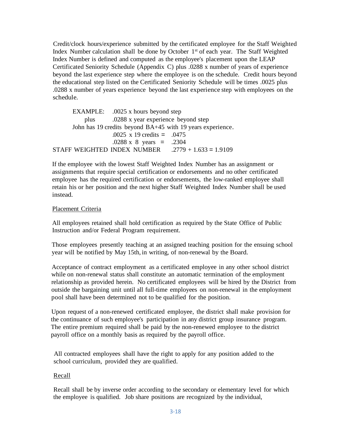Credit/clock hours/experience submitted by the certificated employee for the Staff Weighted Index Number calculation shall be done by October 1<sup>st</sup> of each year. The Staff Weighted Index Number is defined and computed as the employee's placement upon the LEAP Certificated Seniority Schedule (Appendix C) plus .0288 x number of years of experience beyond the last experience step where the employee is on the schedule. Credit hours beyond the educational step listed on the Certificated Seniority Schedule will be times .0025 plus .0288 x number of years experience beyond the last experience step with employees on the schedule.

```
EXAMPLE: .0025 x hours beyond step
          plus .0288 x year experience beyond step
      John has 19 credits beyond BA+45 with 19 years experience.
                   .0025 x 19 credits = .0475
                   .0288 \times 8 years = .2304
STAFF WEIGHTED INDEX NUMBER .2779 + 1.633 = 1.9109
```
If the employee with the lowest Staff Weighted Index Number has an assignment or assignments that require special certification or endorsements and no other certificated employee has the required certification or endorsements, the low-ranked employee shall retain his or her position and the next higher Staff Weighted Index Number shall be used instead.

#### Placement Criteria

All employees retained shall hold certification as required by the State Office of Public Instruction and/or Federal Program requirement.

Those employees presently teaching at an assigned teaching position for the ensuing school year will be notified by May 15th, in writing, of non-renewal by the Board.

Acceptance of contract employment as a certificated employee in any other school district while on non-renewal status shall constitute an automatic termination of the employment relationship as provided herein. No certificated employees will be hired by the District from outside the bargaining unit until all full-time employees on non-renewal in the employment pool shall have been determined not to be qualified for the position.

Upon request of a non-renewed certificated employee, the district shall make provision for the continuance of such employee's participation in any district group insurance program. The entire premium required shall be paid by the non-renewed employee to the district payroll office on a monthly basis as required by the payroll office.

All contracted employees shall have the right to apply for any position added to the school curriculum, provided they are qualified.

## Recall

Recall shall be by inverse order according to the secondary or elementary level for which the employee is qualified. Job share positions are recognized by the individual,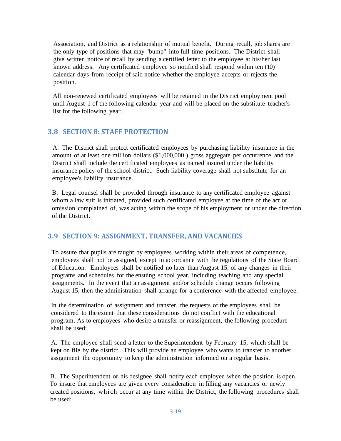Association, and District as a relationship of mutual benefit. During recall, job shares are the only type of positions that may "bump" into full-time positions. The District shall give written notice of recall by sending a certified letter to the employee at his/her last known address. Any certificated employee so notified shall respond within ten (10) calendar days from receipt of said notice whether the employee accepts or rejects the position.

All non-renewed certificated employees will be retained in the District employment pool until August 1 of the following calendar year and will be placed on the substitute teacher's list for the following year.

## <span id="page-23-0"></span>**3.8 SECTION 8: STAFF PROTECTION**

A. The District shall protect certificated employees by purchasing liability insurance in the amount of at least one million dollars (\$1,000,000.) gross aggregate per occurrence and the District shall include the certificated employees as named insured under the liability insurance policy of the school district. Such liability coverage shall not substitute for an employee's liability insurance.

B. Legal counsel shall be provided through insurance to any certificated employee against whom a law suit is initiated, provided such certificated employee at the time of the act or omission complained of, was acting within the scope of his employment or under the direction of the District.

## <span id="page-23-1"></span>**3.9 SECTION 9: ASSIGNMENT, TRANSFER, AND VACANCIES**

To assure that pupils are taught by employees working within their areas of competence, employees shall not be assigned, except in accordance with the regulations of the State Board of Education. Employees shall be notified no later than August 15, of any changes in their programs and schedules for the ensuing school year, including teaching and any special assignments. In the event that an assignment and/or schedule change occurs following August 15, then the administration shall arrange for a conference with the affected employee.

In the determination of assignment and transfer, the requests of the employees shall be considered to the extent that these considerations do not conflict with the educational program. As to employees who desire a transfer or reassignment, the following procedure shall be used:

A. The employee shall send a letter to the Superintendent by February 15, which shall be kept on file by the district. This will provide an employee who wants to transfer to another assignment the opportunity to keep the administration informed on a regular basis.

B. The Superintendent or his designee shall notify each employee when the position is open. To insure that employees are given every consideration in filling any vacancies or newly created positions, which occur at any time within the District, the following procedures shall be used: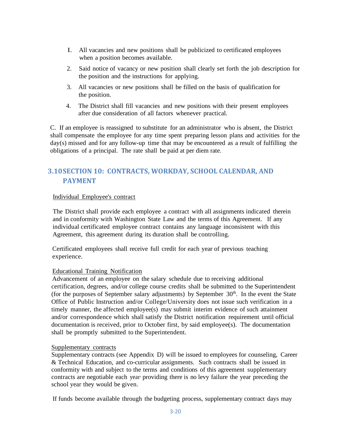- I. All vacancies and new positions shall be publicized to certificated employees when a position becomes available.
- 2. Said notice of vacancy or new position shall clearly set forth the job description for the position and the instructions for applying.
- 3. All vacancies or new positions shall be filled on the basis of qualification for the position.
- 4. The District shall fill vacancies and new positions with their present employees after due consideration of all factors whenever practical.

C. If an employee is reassigned to substitute for an administrator who is absent, the District shall compensate the employee for any time spent preparing lesson plans and activities for the day(s) missed and for any follow-up time that may be encountered as a result of fulfilling the obligations of a principal. The rate shall be paid at per diem rate.

## <span id="page-24-0"></span>**3.10SECTION 10: CONTRACTS, WORKDAY, SCHOOL CALENDAR, AND PAYMENT**

## Individual Employee's contract

The District shall provide each employee a contract with all assignments indicated therein and in conformity with Washington State Law and the terms of this Agreement. If any individual certificated employee contract contains any language inconsistent with this Agreement, this agreement during its duration shall be controlling.

Certificated employees shall receive full credit for each year of previous teaching experience.

## Educational Training Notification

Advancement of an employee on the salary schedule due to receiving additional certification, degrees, and/or college course credits shall be submitted to the Superintendent (for the purposes of September salary adjustments) by September  $30<sup>th</sup>$ . In the event the State Office of Public Instruction and/or College/University does not issue such verification in a timely manner, the affected employee(s) may submit interim evidence of such attainment and/or correspondence which shall satisfy the District notification requirement until official documentation is received, prior to October first, by said employee(s). The documentation shall be promptly submitted to the Superintendent.

#### Supplementary contracts

Supplementary contracts (see Appendix D) will be issued to employees for counseling, Career & Technical Education, and co-curricular assignments. Such contracts shall be issued in conformity with and subject to the terms and conditions of this agreement supplementary contracts are negotiable each year·providing there is no levy failure the year preceding the school year they would be given.

If funds become available through the budgeting process, supplementary contract days may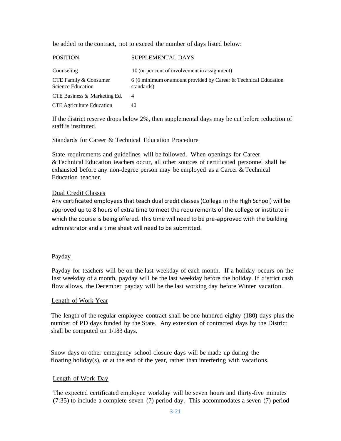be added to the contract, not to exceed the number of days listed below:

| <b>POSITION</b>                                   | SUPPLEMENTAL DAYS                                                             |
|---------------------------------------------------|-------------------------------------------------------------------------------|
| Counseling                                        | 10 (or per cent of involvement in assignment)                                 |
| CTE Family & Consumer<br><b>Science Education</b> | 6 (6 minimum or amount provided by Career & Technical Education<br>standards) |
| CTE Business & Marketing Ed.                      | 4                                                                             |
| <b>CTE</b> Agriculture Education                  | 40                                                                            |

If the district reserve drops below 2%, then supplemental days may be cut before reduction of staff is instituted.

#### Standards for Career & Technical Education Procedure

State requirements and guidelines will be followed. When openings for Career &Technical Education teachers occur, all other sources of certificated personnel shall be exhausted before any non-degree person may be employed as a Career & Technical Education teacher.

## Dual Credit Classes

Any certificated employees that teach dual credit classes (College in the High School) will be approved up to 8 hours of extra time to meet the requirements of the college or institute in which the course is being offered. This time will need to be pre-approved with the building administrator and a time sheet will need to be submitted.

#### Payday

Payday for teachers will be on the last weekday of each month. If a holiday occurs on the last weekday of a month, payday will be the last weekday before the holiday. If district cash flow allows, the December payday will be the last working day before Winter vacation.

#### Length of Work Year

The length of the regular employee contract shall be one hundred eighty (180) days plus the number of PD days funded by the State. Any extension of contracted days by the District shall be computed on 1/183 days.

Snow days or other emergency school closure days will be made up during the floating holiday(s), or at the end of the year, rather than interfering with vacations.

## Length of Work Day

The expected certificated employee workday will be seven hours and thirty-five minutes (7:35) to include a complete seven (7) period day. This accommodates a seven (7) period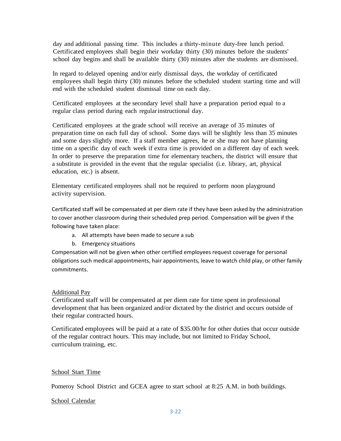day and additional passing time. This includes a thirty-minute duty-free lunch period. Certificated employees shall begin their workday thirty (30) minutes before the students' school day begins and shall be available thirty (30) minutes after the students are dismissed.

In regard to delayed opening and/or early dismissal days, the workday of certificated employees shall begin thirty (30) minutes before the scheduled student starting time and will end with the scheduled student dismissal time on each day.

Certificated employees at the secondary level shall have a preparation period equal to a regular class period during each regularinstructional day.

Certificated employees at the grade school will receive an average of 35 minutes of preparation time on each full day of school. Some days will be slightly less than 35 minutes and some days slightly more. If a staff member agrees, he or she may not have planning time on a specific day of each week if extra time is provided on a different day of each week. In order to preserve the preparation time for elementary teachers, the district will ensure that a substitute is provided in the event that the regular specialist (i.e. library, art, physical education, etc.) is absent.

Elementary certificated employees shall not be required to perform noon playground activity supervision.

Certificated staff will be compensated at per diem rate if they have been asked by the administration to cover another classroom during their scheduled prep period. Compensation will be given if the following have taken place:

- a. All attempts have been made to secure a sub
- b. Emergency situations

Compensation will not be given when other certified employees request coverage for personal obligations such medical appointments, hair appointments, leave to watch child play, or other family commitments.

## Additional Pay

Certificated staff will be compensated at per diem rate for time spent in professional development that has been organized and/or dictated by the district and occurs outside of their regular contracted hours.

Certificated employees will be paid at a rate of \$35.00/hr for other duties that occur outside of the regular contract hours. This may include, but not limited to Friday School, curriculum training, etc.

## School Start Time

Pomeroy School District and GCEA agree to start school at 8:25 A.M. in both buildings.

## School Calendar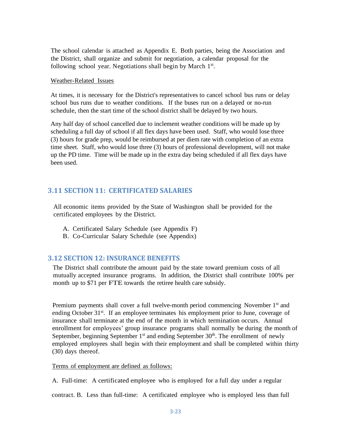The school calendar is attached as Appendix E. Both parties, being the Association and the District, shall organize and submit for negotiation, a calendar proposal for the following school year. Negotiations shall begin by March 1st.

#### Weather-Related Issues

At times, it is necessary for the District's representatives to cancel school bus runs or delay school bus runs due to weather conditions. If the buses run on a delayed or no-run schedule, then the start time of the school district shall be delayed by two hours.

Any half day of school cancelled due to inclement weather conditions will be made up by scheduling a full day of school if all flex days have been used. Staff, who would lose three (3) hours for grade prep, would be reimbursed at per diem rate with completion of an extra time sheet. Staff, who would lose three (3) hours of professional development, will not make up the PD time. Time will be made up in the extra day being scheduled if all flex days have been used.

## <span id="page-27-0"></span>**3.11 SECTION 11: CERTIFICATED SALARIES**

All economic items provided by the State of Washington shall be provided for the certificated employees by the District.

- A. Certificated Salary Schedule (see Appendix F)
- B. Co-Curricular Salary Schedule (see Appendix)

## <span id="page-27-1"></span>**3.12 SECTION 12: INSURANCE BENEFITS**

The District shall contribute the amount paid by the state toward premium costs of all mutually accepted insurance programs. In addition, the District shall contribute 100% per month up to \$71 per FTE towards the retiree health care subsidy.

Premium payments shall cover a full twelve-month period commencing November 1<sup>st</sup> and ending October 31<sup>st</sup>. If an employee terminates his employment prior to June, coverage of insurance shall terminate at the end of the month in which termination occurs. Annual enrollment for employees' group insurance programs shall normally be during the month of September, beginning September  $1<sup>st</sup>$  and ending September  $30<sup>th</sup>$ . The enrollment of newly employed employees shall begin with their employment and shall be completed within thirty (30) days thereof.

Terms of employment are defined as follows:

A. Full-time: A certificated employee who is employed for a full day under a regular

contract. B. Less than full-time: A certificated employee who is employed less than full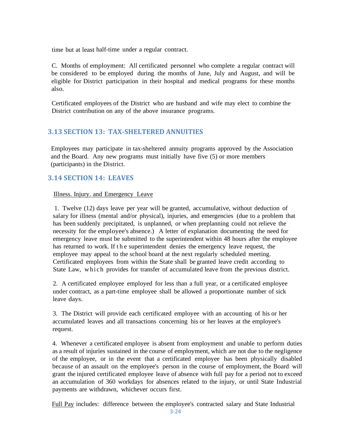time but at least half-time under a regular contract.

C. Months of employment: All certificated personnel who complete a regular contract will be considered to be employed during the months of June, July and August, and will be eligible for District participation in their hospital and medical programs for these months also.

Certificated employees of the District who are husband and wife may elect to combine the District contribution on any of the above insurance programs.

## <span id="page-28-0"></span>**3.13 SECTION 13: TAX-SHELTERED ANNUITIES**

Employees may participate in tax-sheltered annuity programs approved by the Association and the Board. Any new programs must initially have five (5) or more members (participants) in the District.

## <span id="page-28-1"></span>**3.14 SECTION 14: LEAVES**

## Illness. Injury. and Emergency Leave

1. Twelve (12) days leave per year will be granted, accumulative, without deduction of salary for illness (mental and/or physical), injuries, and emergencies (due to a problem that has been suddenly precipitated, is unplanned, or when preplanning could not relieve the necessity for the employee's absence.) A letter of explanation documenting the need for emergency leave must be submitted to the superintendent within 48 hours after the employee has returned to work. If the superintendent denies the emergency leave request, the employee may appeal to the school board at the next regularly scheduled meeting. Certificated employees from within the State shall be granted leave credit according to State Law, which provides for transfer of accumulated leave from the previous district.

2. A certificated employee employed for less than a full year, or a certificated employee under contract, as a part-time employee shall be allowed a proportionate number of sick leave days.

3. The District will provide each certificated employee with an accounting of his or her accumulated leaves and all transactions concerning his or her leaves at the employee's request.

4. Whenever a certificated employee is absent from employment and unable to perform duties as a result of injuries sustained in the course of employment, which are not due to the negligence of the employee, or in the event that a certificated employee has been physically disabled because of an assault on the employee's person in the course of employment, the Board will grant the injured certificated employee leave of absence with full pay for a period not to exceed an accumulation of 360 workdays for absences related to the injury, or until State Industrial payments are withdrawn, whichever occurs first.

Full Pay includes: difference between the employee's contracted salary and State Industrial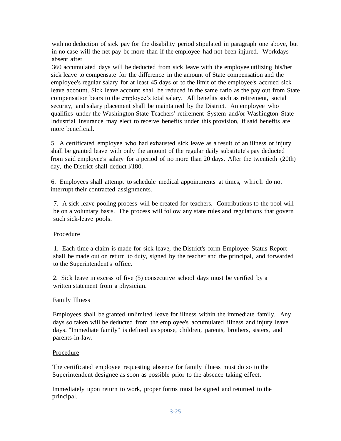with no deduction of sick pay for the disability period stipulated in paragraph one above, but in no case will the net pay be more than if the employee had not been injured. Workdays absent after

360 accumulated days will be deducted from sick leave with the employee utilizing his/her sick leave to compensate for the difference in the amount of State compensation and the employee's regular salary for at least 45 days or to the limit of the employee's accrued sick leave account. Sick leave account shall be reduced in the same ratio as the pay out from State compensation bears to the employee's total salary. All benefits such as retirement, social security, and salary placement shall be maintained by the District. An employee who qualifies under the Washington State Teachers' retirement System and/or Washington State Industrial Insurance may elect to receive benefits under this provision, if said benefits are more beneficial.

5. A certificated employee who had exhausted sick leave as a result of an illness or injury shall be granted leave with only the amount of the regular daily substitute's pay deducted from said employee's salary for a period of no more than 20 days. After the twentieth (20th) day, the District shall deduct l/180.

6. Employees shall attempt to schedule medical appointments at times, w hi ch do not interrupt their contracted assignments.

7. A sick-leave-pooling process will be created for teachers. Contributions to the pool will be on a voluntary basis. The process will follow any state rules and regulations that govern such sick-leave pools.

## Procedure

1. Each time a claim is made for sick leave, the District's form Employee Status Report shall be made out on return to duty, signed by the teacher and the principal, and forwarded to the Superintendent's office.

2. Sick leave in excess of five (5) consecutive school days must be verified by a written statement from a physician.

#### Family Illness

Employees shall be granted unlimited leave for illness within the immediate family. Any days so taken will be deducted from the employee's accumulated illness and injury leave days. "Immediate family" is defined as spouse, children, parents, brothers, sisters, and parents-in-law.

#### Procedure

The certificated employee requesting absence for family illness must do so to the Superintendent designee as soon as possible prior to the absence taking effect.

Immediately upon return to work, proper forms must be signed and returned to the principal.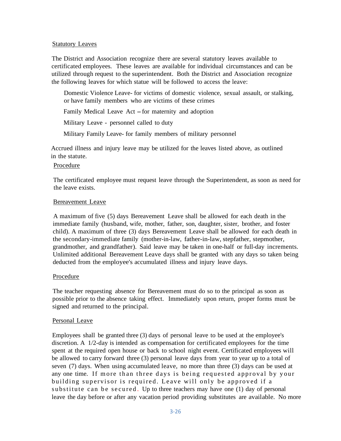### Statutory Leaves

The District and Association recognize there are several statutory leaves available to certificated employees. These leaves are available for individual circumstances and can be utilized through request to the superintendent. Both the District and Association recognize the following leaves for which statue will be followed to access the leave:

Domestic Violence Leave- for victims of domestic violence, sexual assault, or stalking, or have family members who are victims of these crimes

Family Medical Leave Act – for maternity and adoption

Military Leave - personnel called to duty

Military Family Leave- for family members of military personnel

Accrued illness and injury leave may be utilized for the leaves listed above, as outlined in the statute.

### Procedure

The certificated employee must request leave through the Superintendent, as soon as need for the leave exists.

#### Bereavement Leave

A maximum of five (5) days Bereavement Leave shall be allowed for each death in the immediate family (husband, wife, mother, father, son, daughter, sister, brother, and foster child). A maximum of three (3) days Bereavement Leave shall be allowed for each death in the secondary-immediate family (mother-in-law, father-in-law, stepfather, stepmother, grandmother, and grandfather). Said leave may be taken in one-half or full-day increments. Unlimited additional Bereavement Leave days shall be granted with any days so taken being deducted from the employee's accumulated illness and injury leave days.

#### Procedure

The teacher requesting absence for Bereavement must do so to the principal as soon as possible prior to the absence taking effect. Immediately upon return, proper forms must be signed and returned to the principal.

#### Personal Leave

Employees shall be granted three (3) days of personal leave to be used at the employee's discretion. A 1/2-day is intended as compensation for certificated employees for the time spent at the required open house or back to school night event. Certificated employees will be allowed to carry forward three (3) personal leave days from year to year up to a total of seven (7) days. When using accumulated leave, no more than three (3) days can be used at any one time. If more than three days is being requested approval by your building supervisor is required. Leave will only be approved if a substitute can be secured. Up to three teachers may have one  $(1)$  day of personal leave the day before or after any vacation period providing substitutes are available. No more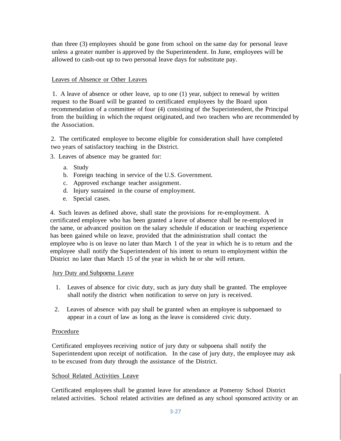than three (3) employees should be gone from school on the same day for personal leave unless a greater number is approved by the Superintendent. In June, employees will be allowed to cash-out up to two personal leave days for substitute pay.

## Leaves of Absence or Other Leaves

1. A leave of absence or other leave, up to one (1) year, subject to renewal by written request to the Board will be granted to certificated employees by the Board upon recommendation of a committee of four (4) consisting of the Superintendent, the Principal from the building in which the request originated, and two teachers who are recommended by the Association.

2. The certificated employee to become eligible for consideration shall have completed two years of satisfactory teaching in the District.

3. Leaves of absence may be granted for:

- a. Study
- b. Foreign teaching in service of the U.S. Government.
- c. Approved exchange teacher assignment.
- d. Injury sustained in the course of employment.
- e. Special cases.

4. Such leaves as defined above, shall state the provisions for re-employment. A certificated employee who has been granted a leave of absence shall be re-employed in the same, or advanced position on the salary schedule if education or teaching experience has been gained while on leave, provided that the administration shall contact the employee who is on leave no later than March 1 of the year in which he is to return and the employee shall notify the Superintendent of his intent to return to employment within the District no later than March 15 of the year in which he or she will return.

## Jury Duty and Subpoena Leave

- 1. Leaves of absence for civic duty, such as jury duty shall be granted. The employee shall notify the district when notification to serve on jury is received.
- 2. Leaves of absence with pay shall be granted when an employee is subpoenaed to appear in a court of law as long as the leave is considered civic duty.

## Procedure

Certificated employees receiving notice of jury duty or subpoena shall notify the Superintendent upon receipt of notification. In the case of jury duty, the employee may ask to be excused from duty through the assistance of the District.

## School Related Activities Leave

Certificated employees shall be granted leave for attendance at Pomeroy School District related activities. School related activities are defined as any school sponsored activity or an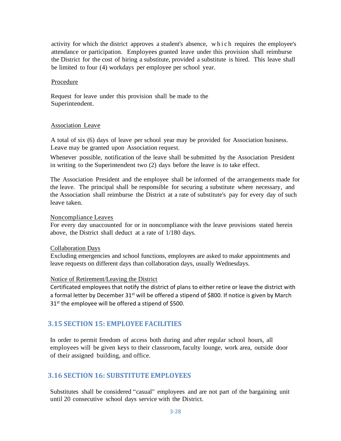activity for which the district approves a student's absence, which requires the employee's attendance or participation. Employees granted leave under this provision shall reimburse the District for the cost of hiring a substitute, provided a substitute is hired. This leave shall be limited to four (4) workdays per employee per school year.

#### Procedure

Request for leave under this provision shall be made to the Superintendent.

#### Association Leave

A total of six (6) days of leave per school year may be provided for Association business. Leave may be granted upon Association request.

Whenever possible, notification of the leave shall be submitted by the Association President in writing to the Superintendent two (2) days before the leave is to take effect.

The Association President and the employee shall be informed of the arrangements made for the leave. The principal shall be responsible for securing a substitute where necessary, and the Association shall reimburse the District at a rate of substitute's pay for every day of such leave taken.

### Noncompliance Leaves

For every day unaccounted for or in noncompliance with the leave provisions stated herein above, the District shall deduct at a rate of 1/180 days.

#### Collaboration Days

Excluding emergencies and school functions, employees are asked to make appointments and leave requests on different days than collaboration days, usually Wednesdays.

#### Notice of Retirement/Leaving the District

Certificated employees that notify the district of plans to either retire or leave the district with a formal letter by December 31<sup>st</sup> will be offered a stipend of \$800. If notice is given by March 31<sup>st</sup> the employee will be offered a stipend of \$500.

## <span id="page-32-0"></span>**3.15 SECTION 15: EMPLOYEE FACILITIES**

In order to permit freedom of access both during and after regular school hours, all employees will be given keys to their classroom, faculty lounge, work area, outside door of their assigned building, and office.

## <span id="page-32-1"></span>**3.16 SECTION 16: SUBSTITUTE EMPLOYEES**

Substitutes shall be considered "casual" employees and are not part of the bargaining unit until 20 consecutive school days service with the District.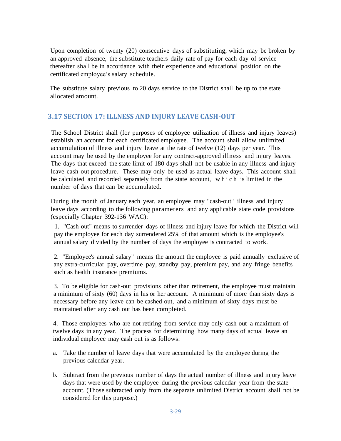Upon completion of twenty (20) consecutive days of substituting, which may be broken by an approved absence, the substitute teachers daily rate of pay for each day of service thereafter shall be in accordance with their experience and educational position on the certificated employee's salary schedule.

The substitute salary previous to 20 days service to the District shall be up to the state allocated amount.

## <span id="page-33-0"></span>**3.17 SECTION 17: ILLNESS AND INJURY LEAVE CASH-OUT**

The School District shall (for purposes of employee utilization of illness and injury leaves) establish an account for each certificated employee. The account shall allow unlimited accumulation of illness and injury leave at the rate of twelve (12) days per year. This account may be used by the employee for any contract-approved illness and injury leaves. The days that exceed the state limit of 180 days shall not be usable in any illness and injury leave cash-out procedure. These may only be used as actual leave days. This account shall be calculated and recorded separately from the state account, w h i c h is limited in the number of days that can be accumulated.

During the month of January each year, an employee may "cash-out" illness and injury leave days according to the following parameters and any applicable state code provisions (especially Chapter 392-136 WAC):

1. "Cash-out" means to surrender days of illness and injury leave for which the District will pay the employee for each day surrendered 25% of that amount which is the employee's annual salary divided by the number of days the employee is contracted to work.

2. "Employee's annual salary" means the amount the employee is paid annually exclusive of any extra-curricular pay, overtime pay, standby pay, premium pay, and any fringe benefits such as health insurance premiums.

3. To be eligible for cash-out provisions other than retirement, the employee must maintain a minimum of sixty (60) days in his or her account. A minimum of more than sixty days is necessary before any leave can be cashed-out, and a minimum of sixty days must be maintained after any cash out has been completed.

4. Those employees who are not retiring from service may only cash-out a maximum of twelve days in any year. The process for determining how many days of actual leave an individual employee may cash out is as follows:

- a. Take the number of leave days that were accumulated by the employee during the previous calendar year.
- b. Subtract from the previous number of days the actual number of illness and injury leave days that were used by the employee during the previous calendar year from the state account. (Those subtracted only from the separate unlimited District account shall not be considered for this purpose.)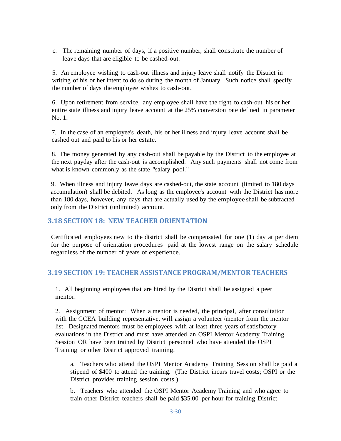c. The remaining number of days, if a positive number, shall constitute the number of leave days that are eligible to be cashed-out.

5. An employee wishing to cash-out illness and injury leave shall notify the District in writing of his or her intent to do so during the month of January. Such notice shall specify the number of days the employee wishes to cash-out.

6. Upon retirement from service, any employee shall have the right to cash-out his or her entire state illness and injury leave account at the 25% conversion rate defined in parameter No. 1.

7. In the case of an employee's death, his or her illness and injury leave account shall be cashed out and paid to his or her estate.

8. The money generated by any cash-out shall be payable by the District to the employee at the next payday after the cash-out is accomplished. Any such payments shall not come from what is known commonly as the state "salary pool."

9. When illness and injury leave days are cashed-out, the state account (limited to 180 days accumulation) shall be debited. As long as the employee's account with the District has more than 180 days, however, any days that are actually used by the employee shall be subtracted only from the District (unlimited) account.

## <span id="page-34-0"></span>**3.18 SECTION 18: NEW TEACHER ORIENTATION**

Certificated employees new to the district shall be compensated for one (1) day at per diem for the purpose of orientation procedures paid at the lowest range on the salary schedule regardless of the number of years of experience.

## <span id="page-34-1"></span>**3.19 SECTION 19: TEACHER ASSISTANCE PROGRAM/MENTOR TEACHERS**

1. All beginning employees that are hired by the District shall be assigned a peer mentor.

2. Assignment of mentor: When a mentor is needed, the principal, after consultation with the GCEA building representative, will assign a volunteer /mentor from the mentor list. Designated mentors must be employees with at least three years of satisfactory evaluations in the District and must have attended an OSPI Mentor Academy Training Session OR have been trained by District personnel who have attended the OSPI Training or other District approved training.

a. Teachers who attend the OSPI Mentor Academy Training Session shall be paid a stipend of \$400 to attend the training. (The District incurs travel costs; OSPI or the District provides training session costs.)

b. Teachers who attended the OSPI Mentor Academy Training and who agree to train other District teachers shall be paid \$35.00 per hour for training District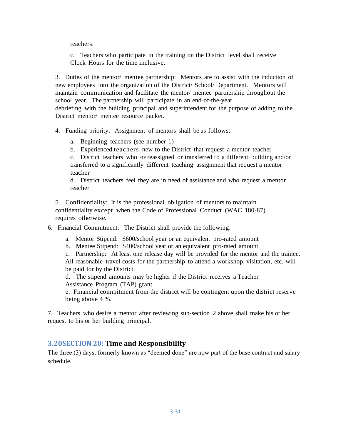teachers.

c. Teachers who participate in the training on the District level shall receive Clock Hours for the time inclusive.

3. Duties of the mentor/ mentee partnership: Mentors are to assist with the induction of new employees into the organization of the District/ School/ Department. Mentors will maintain communication and facilitate the mentor/ mentee partnership throughout the school year. The partnership will participate in an end-of-the-year debriefing with the building principal and superintendent for the purpose of adding to the

District mentor/ mentee resource packet.

4. Funding priority: Assignment of mentors shall be as follows:

- a. Beginning teachers (see number 1)
- b. Experienced teachers new to the District that request a mentor teacher

c. District teachers who are reassigned or transferred to a different building and/or transferred to a significantly different teaching assignment that request a mentor teacher

d. District teachers feel they are in need of assistance and who request a mentor teacher

5. Confidentiality: It is the professional obligation of mentors to maintain confidentiality except when the Code of Professional Conduct (WAC 180-87) requires otherwise.

6. Financial Commitment: The District shall provide the following:

a. Mentor Stipend: \$600/school year or an equivalent pro-rated amount

b. Mentee Stipend: \$400/school year or an equivalent pro-rated amount

c. Partnership: At least one release day will be provided for the mentor and the trainee. All reasonable travel costs for the partnership to attend a workshop, visitation, etc. will be paid for by the District.

d. The stipend amounts may be higher if the District receives a Teacher Assistance Program (TAP) grant.

e. Financial commitment from the district will be contingent upon the district reserve being above 4 %.

7. Teachers who desire a mentor after reviewing sub-section 2 above shall make his or her request to his or her building principal.

## **3.20SECTION 20: Time and Responsibility**

The three (3) days, formerly known as "deemed done" are now part of the base contract and salary schedule.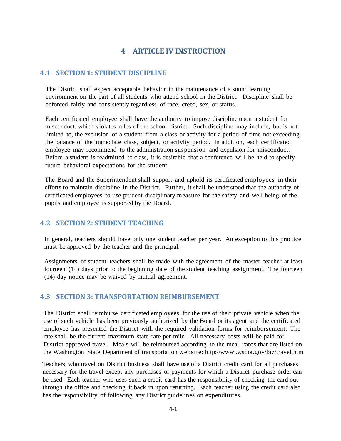## **4 ARTICLE IV INSTRUCTION**

## <span id="page-36-1"></span><span id="page-36-0"></span>**4.1 SECTION 1: STUDENT DISCIPLINE**

The District shall expect acceptable behavior in the maintenance of a sound learning environment on the part of all students who attend school in the District. Discipline shall be enforced fairly and consistently regardless of race, creed, sex, or status.

Each certificated employee shall have the authority to impose discipline upon a student for misconduct, which violates rules of the school district. Such discipline may include, but is not limited to, the exclusion of a student from a class or activity for a period of time not exceeding the balance of the immediate class, subject, or activity period. In addition, each certificated employee may recommend to the administration suspension and expulsion for misconduct. Before a student is readmitted to class, it is desirable that a conference will be held to specify future behavioral expectations for the student.

The Board and the Superintendent shall support and uphold its certificated employees in their efforts to maintain discipline in the District. Further, it shall be understood that the authority of certificated employees to use prudent disciplinary measure for the safety and well-being of the pupils and employee is supported by the Board.

## <span id="page-36-2"></span>**4.2 SECTION 2: STUDENT TEACHING**

In general, teachers should have only one student teacher per year. An exception to this practice must be approved by the teacher and the principal.

Assignments of student teachers shall be made with the agreement of the master teacher at least fourteen (14) days prior to the beginning date of the student teaching assignment. The fourteen (14) day notice may be waived by mutual agreement.

## <span id="page-36-3"></span>**4.3 SECTION 3: TRANSPORTATION REIMBURSEMENT**

The District shall reimburse certificated employees for the use of their private vehicle when the use of such vehicle has been previously authorized by the Board or its agent and the certificated employee has presented the District with the required validation forms for reimbursement. The rate shall be the current maximum state rate per mile. All necessary costs will be paid for District-approved travel. Meals will be reimbursed according to the meal rates that are listed on the Washington State Department of transportation website: [http://www](http://www/) .wsdot.gov/biz/travel.htm

Teachers who travel on District business shall have use of a District credit card for all purchases necessary for the travel except any purchases or payments for which a District purchase order can be used. Each teacher who uses such a credit card has the responsibility of checking the card out through the office and checking it back in upon returning. Each teacher using the credit card also has the responsibility of following any District guidelines on expenditures.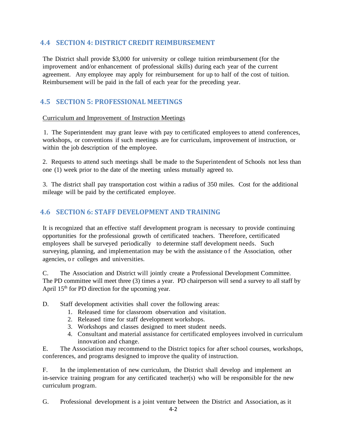## <span id="page-37-0"></span>**4.4 SECTION 4: DISTRICT CREDIT REIMBURSEMENT**

The District shall provide \$3,000 for university or college tuition reimbursement (for the improvement and/or enhancement of professional skills) during each year of the current agreement. Any employee may apply for reimbursement for up to half of the cost of tuition. Reimbursement will be paid in the fall of each year for the preceding year.

## <span id="page-37-1"></span>**4.5 SECTION 5: PROFESSIONAL MEETINGS**

## Curriculum and Improvement of Instruction Meetings

1. The Superintendent may grant leave with pay to certificated employees to attend conferences, workshops, or conventions if such meetings are for curriculum, improvement of instruction, or within the job description of the employee.

2. Requests to attend such meetings shall be made to the Superintendent of Schools not less than one (1) week prior to the date of the meeting unless mutually agreed to.

3. The district shall pay transportation cost within a radius of 350 miles. Cost for the additional mileage will be paid by the certificated employee.

## <span id="page-37-2"></span>**4.6 SECTION 6: STAFF DEVELOPMENT AND TRAINING**

It is recognized that an effective staff development program is necessary to provide continuing opportunities for the professional growth of certificated teachers. Therefore, certificated employees shall be surveyed periodically to determine staff development needs. Such surveying, planning, and implementation may be with the assistance of the Association, other agencies, o r colleges and universities.

C. The Association and District will jointly create a Professional Development Committee. The PD committee will meet three (3) times a year. PD chairperson will send a survey to all staff by April  $15<sup>th</sup>$  for PD direction for the upcoming year.

D. Staff development activities shall cover the following areas:

- 1. Released time for classroom observation and visitation.
- 2. Released time for staff development workshops.
- 3. Workshops and classes designed to meet student needs.
- 4. Consultant and material assistance for certificated employees involved in curriculum innovation and change.

E. The Association may recommend to the District topics for after school courses, workshops, conferences, and programs designed to improve the quality of instruction.

F. In the implementation of new curriculum, the District shall develop and implement an in-service training program for any certificated teacher(s) who will be responsible for the new curriculum program.

G. Professional development is a joint venture between the District and Association, as it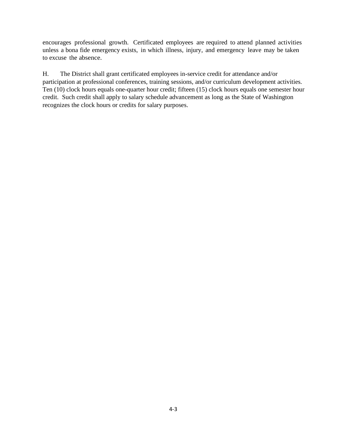encourages professional growth. Certificated employees are required to attend planned activities unless a bona fide emergency exists, in which illness, injury, and emergency leave may be taken to excuse the absence.

H. The District shall grant certificated employees in-service credit for attendance and/or participation at professional conferences, training sessions, and/or curriculum development activities. Ten (10) clock hours equals one-quarter hour credit; fifteen (15) clock hours equals one semester hour credit. Such credit shall apply to salary schedule advancement as long as the State of Washington recognizes the clock hours or credits for salary purposes.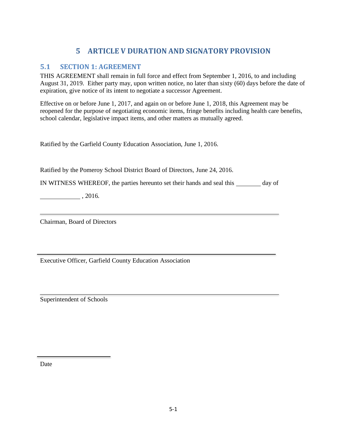# **5 ARTICLE V DURATION AND SIGNATORY PROVISION**

## <span id="page-39-1"></span><span id="page-39-0"></span>**5.1 SECTION 1: AGREEMENT**

THIS AGREEMENT shall remain in full force and effect from September 1, 2016, to and including August 31, 2019. Either party may, upon written notice, no later than sixty (60) days before the date of expiration, give notice of its intent to negotiate a successor Agreement.

Effective on or before June 1, 2017, and again on or before June 1, 2018, this Agreement may be reopened for the purpose of negotiating economic items, fringe benefits including health care benefits, school calendar, legislative impact items, and other matters as mutually agreed.

Ratified by the Garfield County Education Association, June 1, 2016.

Ratified by the Pomeroy School District Board of Directors, June 24, 2016.

IN WITNESS WHEREOF, the parties hereunto set their hands and seal this day of

 $, 2016.$ 

Chairman, Board of Directors

Executive Officer, Garfield County Education Association

Superintendent of Schools

Date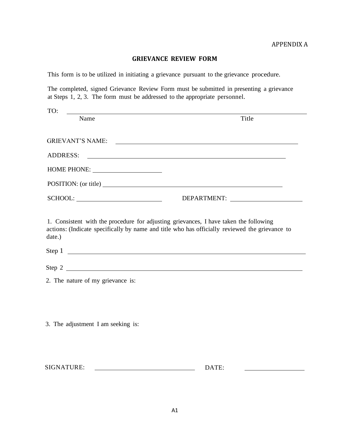## **GRIEVANCE REVIEW FORM**

<span id="page-40-1"></span><span id="page-40-0"></span>This form is to be utilized in initiating a grievance pursuant to the grievance procedure.

The completed, signed Grievance Review Form must be submitted in presenting a grievance at Steps 1, 2, 3. The form must be addressed to the appropriate personnel.

| TO:                                                                                             |                                                                                                                       |
|-------------------------------------------------------------------------------------------------|-----------------------------------------------------------------------------------------------------------------------|
| Name                                                                                            | Title                                                                                                                 |
|                                                                                                 |                                                                                                                       |
| <b>GRIEVANT'S NAME:</b>                                                                         | <u> 1989 - Andrea Barbara, amerikan personal dan personal dan personal dan personal dan personal dan personal dan</u> |
| <b>ADDRESS:</b>                                                                                 | <u> 1989 - Johann Barnett, fransk politiker (d. 1989)</u>                                                             |
| HOME PHONE: _______________________                                                             |                                                                                                                       |
| POSITION: (or title)                                                                            |                                                                                                                       |
|                                                                                                 |                                                                                                                       |
| 1. Consistent with the procedure for adjusting grievances, I have taken the following<br>date.) | actions: (Indicate specifically by name and title who has officially reviewed the grievance to                        |
|                                                                                                 | Step 1                                                                                                                |
|                                                                                                 | Step 2                                                                                                                |
| 2. The nature of my grievance is:                                                               |                                                                                                                       |
|                                                                                                 |                                                                                                                       |
|                                                                                                 |                                                                                                                       |
| 3. The adjustment I am seeking is:                                                              |                                                                                                                       |
| <b>SIGNATURE:</b>                                                                               | DATE:                                                                                                                 |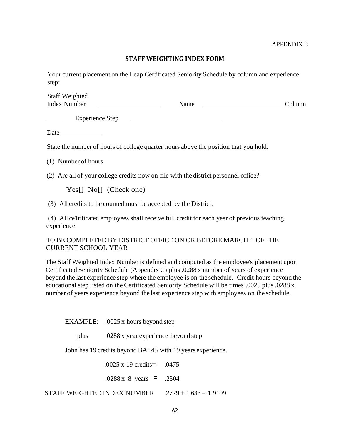## **STAFF WEIGHTING INDEX FORM**

<span id="page-41-1"></span><span id="page-41-0"></span>Your current placement on the Leap Certificated Seniority Schedule by column and experience step:

| <b>Staff Weighted</b> |      |        |
|-----------------------|------|--------|
| <b>Index Number</b>   | Name | Column |
|                       |      |        |

 Experience Step <u> 1980 - Johann Barbara, martxa alemaniar a</u>

Date and the same state of the state of the state of the state of the state of the state of the state of the state of the state of the state of the state of the state of the state of the state of the state of the state of

State the number of hours of college quarter hours above the position that you hold.

(1) Number of hours

(2) Are all of your college credits now on file with the district personnel office?

Yes[] No[] (Check one)

(3) All credits to be counted must be accepted by the District.

(4) All ce1tificated employees shall receive full credit for each year of previous teaching experience.

## TO BE COMPLETED BY DISTRICT OFFICE ON OR BEFORE MARCH 1 OF THE CURRENT SCHOOL YEAR

The Staff Weighted Index Number is defined and computed as the employee's placement upon Certificated Seniority Schedule (Appendix C) plus .0288 x number of years of experience beyond the last experience step where the employee is on the schedule. Credit hours beyond the educational step listed on the Certificated Seniority Schedule will be times .0025 plus .0288 x number of years experience beyond the last experience step with employees on the schedule.

EXAMPLE: .0025 x hours beyond step

plus .0288 x year experience beyond step

John has 19 credits beyond BA+45 with 19 years experience.

.0025 x 19 credits= .0475

.0288 x 8 years *=* .2304

STAFF WEIGHTED INDEX NUMBER .2779 + 1.633 *=* 1.9109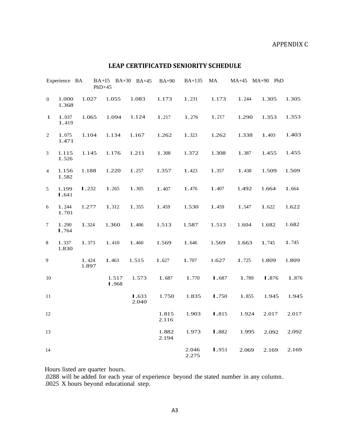## APPENDIX C

## **LEAP CERTIFICATED SENIORITY SCHEDULE**

<span id="page-42-1"></span><span id="page-42-0"></span>

|                | Experience BA  |                | BA+I5 BA+30 BA+45<br>$PhD+45$ |                | <b>BA+90</b>   | <b>BA+135</b>  | MA    | MA+45 MA+90 PhD |       |       |
|----------------|----------------|----------------|-------------------------------|----------------|----------------|----------------|-------|-----------------|-------|-------|
| $\overline{0}$ | 1.000<br>1.368 | 1.027          | 1.055                         | 1.083          | 1.173          | 1.231          | 1.173 | 1.244           | 1.305 | 1.305 |
| $\mathbf{1}$   | 1.037<br>1.419 | 1.065          | 1.094                         | 1.124          | 1.217          | 1.276          | 1.217 | 1.290           | 1.353 | 1.353 |
| $\sqrt{2}$     | 1.075<br>1.471 | 1.104          | 1.134                         | 1.167          | 1.262          | 1.323          | 1.262 | 1.338           | 1.403 | 1.403 |
| $\mathfrak{Z}$ | 1.115<br>1.526 | 1.145          | 1.176                         | 1.211          | 1.308          | 1.372          | 1.308 | 1.387           | 1.455 | 1.455 |
| $\overline{4}$ | 1.156<br>1.582 | 1.188          | 1.220                         | 1.257          | 1.357          | 1.423          | 1.357 | 1.438           | 1.509 | 1.509 |
| 5              | 1.199<br>1.641 | 1.232          | 1.265                         | 1.305          | 1.407          | 1.476          | 1.407 | 1.492           | 1.664 | 1.664 |
| 6              | 1.244<br>1.701 | 1.277          | 1.312                         | 1.355          | 1.459          | 1.530          | 1.459 | 1.547           | 1.622 | 1.622 |
| $\tau$         | 1.290<br>1.764 | 1.324          | 1.360                         | 1.406          | 1.513          | 1.587          | 1.513 | 1.604           | 1.682 | 1.682 |
| 8              | 1.337<br>1.830 | 1.373          | 1.410                         | 1.460          | 1.569          | 1.646          | 1.569 | 1.663           | 1.745 | 1.745 |
| 9              |                | 1.424<br>1.897 | 1.463                         | 1.515          | 1.627          | 1.707          | 1.627 | 1.725           | 1.809 | 1.809 |
| $10\,$         |                |                | 1.517<br>1.968                | 1.573          | 1.687          | 1.770          | 1.687 | 1.789           | 1.876 | 1.876 |
| $11\,$         |                |                |                               | 1.633<br>2.040 | 1.750          | 1.835          | 1.750 | 1.855           | 1.945 | 1.945 |
| $12\,$         |                |                |                               |                | 1.815<br>2.116 | 1.903          | 1.815 | 1.924           | 2.017 | 2.017 |
| 13             |                |                |                               |                | 1.882<br>2.194 | 1.973          | 1.882 | 1.995           | 2.092 | 2.092 |
| 14             |                |                |                               |                |                | 2.046<br>2.275 | 1.951 | 2.069           | 2.169 | 2.169 |

Hours listed are quarter hours.

.0288 will be added for each year of experience beyond the stated number in any column.

.0025 X hours beyond educational step.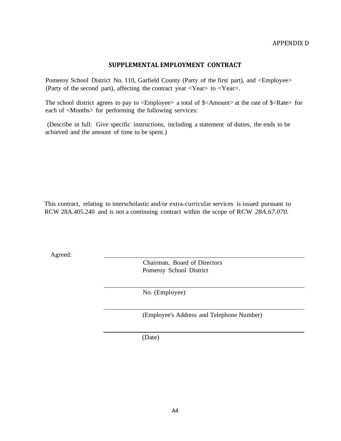## **SUPPLEMENTAL EMPLOYMENT CONTRACT**

<span id="page-43-1"></span><span id="page-43-0"></span>Pomeroy School District No. 110, Garfield County (Party of the first part), and <Employee> (Party of the second part), affecting the contract year  $\langle Year \rangle$  to  $\langle Year \rangle$ .

The school district agrees to pay to <Employee> a total of \$<Amount> at the rate of \$<Rate> for each of <Months> for performing the following services:

(Describe in full: Give specific instructions, including a statement of duties, the ends to be achieved and the amount of time to be spent.)

This contract, relating to interscholastic and/or extra-curricular services is issued pursuant to RCW 28A.405.240 and is not a continuing contract within the scope of RCW *28A.67.070.*

Agreed:

Chairman, Board of Directors Pomeroy School District

No. (Employee)

(Employee's Address and Telephone Number)

(Date)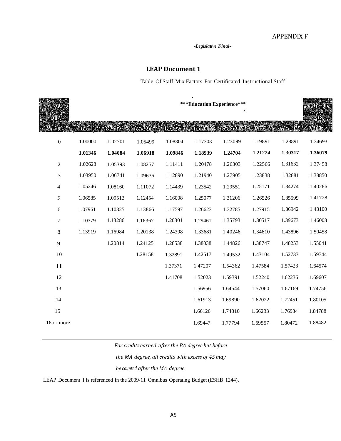*-Legislative Final-*

## **LEAP Document 1**

#### Table Of Staff Mix Factors For Certificated Instructional Staff

<span id="page-44-1"></span><span id="page-44-0"></span>

| <b>Means</b><br>ol |         |               |               |         | ***Education Experience*** |         |         |              | <b>MEAGAID</b><br>GR |
|--------------------|---------|---------------|---------------|---------|----------------------------|---------|---------|--------------|----------------------|
| Service            | 93A 22  | <b>BATHES</b> | <b>BAT-30</b> |         | <b>BAT45 BAT90 BAT60</b>   |         | MA      | <b>MAH45</b> | Ph.D.,               |
| $\boldsymbol{0}$   | 1.00000 | 1.02701       | 1.05499       | 1.08304 | 1.17303                    | 1.23099 | 1.19891 | 1.28891      | 1.34693              |
|                    | 1.01346 | 1.04084       | 1.06918       | 1.09846 | 1.18939                    | 1.24704 | 1.21224 | 1.30317      | 1.36079              |
| $\overline{c}$     | 1.02628 | 1.05393       | 1.08257       | 1.11411 | 1.20478                    | 1.26303 | 1.22566 | 1.31632      | 1.37458              |
| 3                  | 1.03950 | 1.06741       | 1.09636       | 1.12890 | 1.21940                    | 1.27905 | 1.23838 | 1.32881      | 1.38850              |
| $\overline{4}$     | 1.05246 | 1.08160       | 1.11072       | 1.14439 | 1.23542                    | 1.29551 | 1.25171 | 1.34274      | 1.40286              |
| 5                  | 1.06585 | 1.09513       | 1.12454       | 1.16008 | 1.25077                    | 1.31206 | 1.26526 | 1.35599      | 1.41728              |
| $\sqrt{6}$         | 1.07961 | 1.10825       | 1.13866       | 1.17597 | 1.26623                    | 1.32785 | 1.27915 | 1.36942      | 1.43100              |
| 7                  | 1.10379 | 1.13286       | 1.16367       | 1.20301 | 1.29461                    | 1.35793 | 1.30517 | 1.39673      | 1.46008              |
| $8\,$              | 1.13919 | 1.16984       | 1.20138       | 1.24398 | 1.33681                    | 1.40246 | 1.34610 | 1.43896      | 1.50458              |
| 9                  |         | 1.20814       | 1.24125       | 1.28538 | 1.38038                    | 1.44826 | 1.38747 | 1.48253      | 1.55041              |
| 10                 |         |               | 1.28158       | 1.32891 | 1.42517                    | 1.49532 | 1.43104 | 1.52733      | 1.59744              |
| $\blacksquare$     |         |               |               | 1.37371 | 1.47207                    | 1.54362 | 1.47584 | 1.57423      | 1.64574              |
| 12                 |         |               |               | 1.41708 | 1.52023                    | 1.59391 | 1.52240 | 1.62236      | 1.69607              |
| 13                 |         |               |               |         | 1.56956                    | 1.64544 | 1.57060 | 1.67169      | 1.74756              |
| 14                 |         |               |               |         | 1.61913                    | 1.69890 | 1.62022 | 1.72451      | 1.80105              |
| 15                 |         |               |               |         | 1.66126                    | 1.74310 | 1.66233 | 1.76934      | 1.84788              |
| 16 or more         |         |               |               |         | 1.69447                    | 1.77794 | 1.69557 | 1.80472      | 1.88482              |

*For credits earned after the BA degree but before*

*the MA degree, all credits with excess of 45 may*

*be counted after the MA degree.*

LEAP Document I is referenced in the 2009-11 Omnibus Operating Budget (ESHB 1244).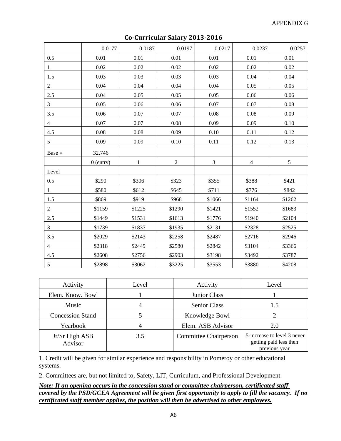<span id="page-45-1"></span><span id="page-45-0"></span>

|                | 0.0177      | 0.0187       | 0.0197     | 0.0217         | 0.0237         | 0.0257 |
|----------------|-------------|--------------|------------|----------------|----------------|--------|
| 0.5            | 0.01        | 0.01         | 0.01       | 0.01           | 0.01           | 0.01   |
| $\mathbf{1}$   | 0.02        | 0.02         | 0.02       | 0.02           | 0.02           | 0.02   |
| 1.5            | 0.03        | 0.03         | 0.03       | 0.03           | 0.04           | 0.04   |
| $\overline{c}$ | 0.04        | 0.04         | 0.04       | 0.04           | 0.05           | 0.05   |
| 2.5            | 0.04        | 0.05         | 0.05       | 0.05           | 0.06           | 0.06   |
| 3              | 0.05        | 0.06         | 0.06       | 0.07           | 0.07           | 0.08   |
| 3.5            | 0.06        | 0.07         | 0.07       | 0.08           | 0.08           | 0.09   |
| $\overline{4}$ | 0.07        | 0.07         | 0.08       | 0.09           | 0.09           | 0.10   |
| 4.5            | 0.08        | 0.08         | 0.09       | 0.10           | 0.11           | 0.12   |
| 5              | 0.09        | 0.09         | 0.10       | 0.11           | 0.12           | 0.13   |
| $Base =$       | 32,746      |              |            |                |                |        |
|                | $0$ (entry) | $\mathbf{1}$ | $\sqrt{2}$ | $\mathfrak{Z}$ | $\overline{4}$ | 5      |
| Level          |             |              |            |                |                |        |
| 0.5            | \$290       | \$306        | \$323      | \$355          | \$388          | \$421  |
| $\mathbf{1}$   | \$580       | \$612        | \$645      | \$711          | \$776          | \$842  |
| 1.5            | \$869       | \$919        | \$968      | \$1066         | \$1164         | \$1262 |
| $\overline{2}$ | \$1159      | \$1225       | \$1290     | \$1421         | \$1552         | \$1683 |
| $2.5\,$        | \$1449      | \$1531       | \$1613     | \$1776         | \$1940         | \$2104 |
| 3              | \$1739      | \$1837       | \$1935     | \$2131         | \$2328         | \$2525 |
| 3.5            | \$2029      | \$2143       | \$2258     | \$2487         | \$2716         | \$2946 |
| $\overline{4}$ | \$2318      | \$2449       | \$2580     | \$2842         | \$3104         | \$3366 |
| 4.5            | \$2608      | \$2756       | \$2903     | \$3198         | \$3492         | \$3787 |
| $\mathfrak s$  | \$2898      | \$3062       | \$3225     | \$3553         | \$3880         | \$4208 |

## **Co-Curricular Salary 2013-2016**

| Activity                  | Level | Activity                     | Level                                                                   |
|---------------------------|-------|------------------------------|-------------------------------------------------------------------------|
| Elem. Know. Bowl          |       | Junior Class                 |                                                                         |
| Music                     |       | <b>Senior Class</b>          | 1.5                                                                     |
| <b>Concession Stand</b>   |       | Knowledge Bowl               |                                                                         |
| Yearbook                  |       | Elem. ASB Advisor            | 2.0                                                                     |
| Jr/Sr High ASB<br>Advisor | 3.5   | <b>Committee Chairperson</b> | .5-increase to level 3 never<br>getting paid less then<br>previous year |

1. Credit will be given for similar experience and responsibility in Pomeroy or other educational systems.

2. Committees are, but not limited to, Safety, LIT, Curriculum, and Professional Development.

*Note: If an opening occurs in the concession stand or committee chairperson, certificated staff covered by the PSD/GCEA Agreement will be given first opportunity to apply to fill the vacancy. If no certificated staff member applies, the position will then be advertised to other employees.*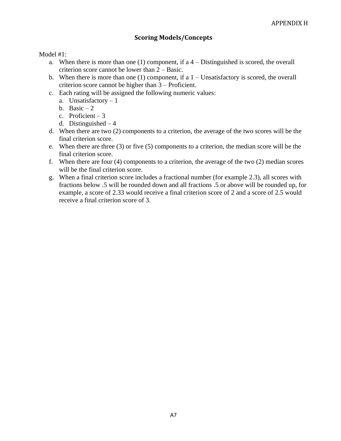## **Scoring Models/Concepts**

<span id="page-46-1"></span><span id="page-46-0"></span>Model #1:

- a. When there is more than one  $(1)$  component, if a  $4$  Distinguished is scored, the overall criterion score cannot be lower than 2 – Basic.
- b. When there is more than one (1) component, if a  $1 -$ Unsatisfactory is scored, the overall criterion score cannot be higher than 3 – Proficient.
- c. Each rating will be assigned the following numeric values:
	- a. Unsatisfactory 1
	- b. Basic  $-2$
	- c. Proficient  $-3$
	- d. Distinguished 4
- d. When there are two (2) components to a criterion, the average of the two scores will be the final criterion score.
- e. When there are three (3) or five (5) components to a criterion, the median score will be the final criterion score.
- f. When there are four (4) components to a criterion, the average of the two (2) median scores will be the final criterion score.
- <span id="page-46-2"></span>g. When a final criterion score includes a fractional number (for example 2.3), all scores with fractions below .5 will be rounded down and all fractions .5 or above will be rounded up, for example, a score of 2.33 would receive a final criterion score of 2 and a score of 2.5 would receive a final criterion score of 3.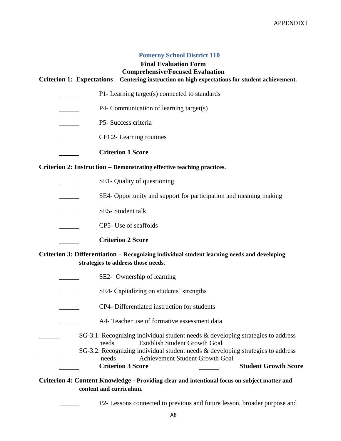## **Pomeroy School District 110**

## **Final Evaluation Form Comprehensive/Focused Evaluation**

## <span id="page-47-0"></span>**Criterion 1: Expectations – Centering instruction on high expectations for student achievement.**

- P1- Learning target(s) connected to standards
- P4- Communication of learning target(s)
- P5- Success criteria
- CEC2- Learning routines
	- **Criterion 1 Score**

#### **Criterion 2: Instruction – Demonstrating effective teaching practices.**

- SE1- Quality of questioning
- SE4- Opportunity and support for participation and meaning making  $\mathcal{L}^{\text{max}}$  .
- SE5- Student talk
- CP5- Use of scaffolds
	- **Criterion 2 Score**

## **Criterion 3: Differentiation – Recognizing individual student learning needs and developing strategies to address those needs.**

- SE2- Ownership of learning
- SE4- Capitalizing on students' strengths
- CP4- Differentiated instruction for students
- A4- Teacher use of formative assessment data
	- SG-3.1: Recognizing individual student needs & developing strategies to address needs Establish Student Growth Goal
	- SG-3.2: Recognizing individual student needs & developing strategies to address needs Achievement Student Growth Goal **Criterion 3 Score Student Growth Score**

## **Criterion 4: Content Knowledge - Providing clear and intentional focus on subject matter and content and curriculum.**

P2- Lessons connected to previous and future lesson, broader purpose and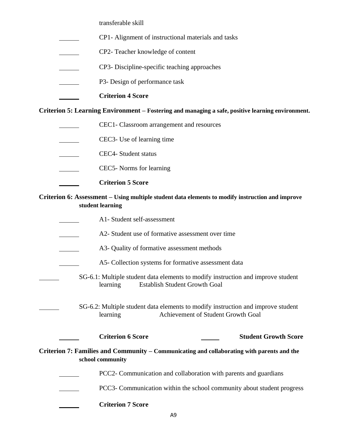transferable skill

- CP1- Alignment of instructional materials and tasks
- CP2- Teacher knowledge of content
- CP3- Discipline-specific teaching approaches
- P3- Design of performance task
	- **Criterion 4 Score**

**Criterion 5: Learning Environment – Fostering and managing a safe, positive learning environment.**

- CEC1- Classroom arrangement and resources
- CEC3- Use of learning time
- CEC4- Student status
- CEC5- Norms for learning
- **Criterion 5 Score**

## **Criterion 6: Assessment – Using multiple student data elements to modify instruction and improve student learning**

- A1- Student self-assessment
- A2- Student use of formative assessment over time
- A3- Quality of formative assessment methods
	- A5- Collection systems for formative assessment data
- SG-6.1: Multiple student data elements to modify instruction and improve student learning Establish Student Growth Goal
	- SG-6.2: Multiple student data elements to modify instruction and improve student learning Achievement of Student Growth Goal
		-

**Criterion 6 Score Student Growth Score**

## **Criterion 7: Families and Community – Communicating and collaborating with parents and the school community**

PCC2- Communication and collaboration with parents and guardians

- PCC3- Communication within the school community about student progress
- **Criterion 7 Score**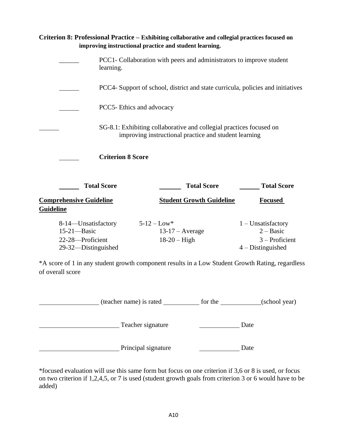| Criterion 8: Professional Practice – Exhibiting collaborative and collegial practices focused on |                                                                                                                              | improving instructional practice and student learning. |  |                                                                              |  |  |  |  |  |
|--------------------------------------------------------------------------------------------------|------------------------------------------------------------------------------------------------------------------------------|--------------------------------------------------------|--|------------------------------------------------------------------------------|--|--|--|--|--|
|                                                                                                  | PCC1- Collaboration with peers and administrators to improve student<br>learning.                                            |                                                        |  |                                                                              |  |  |  |  |  |
|                                                                                                  | PCC4- Support of school, district and state curricula, policies and initiatives                                              |                                                        |  |                                                                              |  |  |  |  |  |
|                                                                                                  | PCC5- Ethics and advocacy                                                                                                    |                                                        |  |                                                                              |  |  |  |  |  |
|                                                                                                  | SG-8.1: Exhibiting collaborative and collegial practices focused on<br>improving instructional practice and student learning |                                                        |  |                                                                              |  |  |  |  |  |
|                                                                                                  | <b>Criterion 8 Score</b>                                                                                                     |                                                        |  |                                                                              |  |  |  |  |  |
| <b>Total Score</b>                                                                               |                                                                                                                              | <b>Total Score</b>                                     |  | <b>Total Score</b>                                                           |  |  |  |  |  |
| <b>Comprehensive Guideline</b><br><b>Guideline</b>                                               |                                                                                                                              | <b>Student Growth Guideline</b>                        |  | <b>Focused</b>                                                               |  |  |  |  |  |
| 8-14—Unsatisfactory<br>$15-21$ —Basic<br>22-28-Proficient<br>29-32—Distinguished                 |                                                                                                                              | $5 - 12 - Low*$<br>$13-17$ – Average<br>$18-20$ – High |  | $1$ – Unsatisfactory<br>$2 - Basic$<br>$3 -$ Proficient<br>$4-Distinguished$ |  |  |  |  |  |

\*A score of 1 in any student growth component results in a Low Student Growth Rating, regardless of overall score

| (teacher name) is rated | for the | (school year) |
|-------------------------|---------|---------------|
| Teacher signature       | Date    |               |
| Principal signature     | Date    |               |

\*focused evaluation will use this same form but focus on one criterion if 3,6 or 8 is used, or focus on two criterion if 1,2,4,5, or 7 is used (student growth goals from criterion 3 or 6 would have to be added)